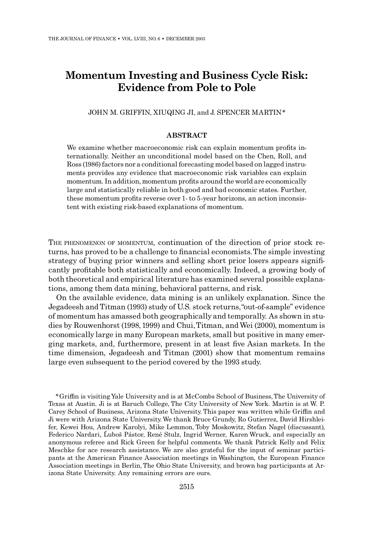# Momentum Investing and Business Cycle Risk: Evidence from Pole to Pole

JOHN M. GRIFFIN, XIUQING JI, and J. SPENCER MARTIN\*

## ABSTRACT

We examine whether macroeconomic risk can explain momentum profits internationally. Neither an unconditional model based on the Chen, Roll, and Ross (1986) factors nor a conditional forecasting model based on lagged instruments provides any evidence that macroeconomic risk variables can explain momentum. In addition, momentum profits around the world are economically large and statistically reliable in both good and bad economic states. Further, these momentum profits reverse over 1- to 5-year horizons, an action inconsistent with existing risk-based explanations of momentum.

THE PHENOMENON OF MOMENTUM, continuation of the direction of prior stock returns, has proved to be a challenge to financial economists. The simple investing strategy of buying prior winners and selling short prior losers appears signi¢ cantly pro¢table both statistically and economically. Indeed, a growing body of both theoretical and empirical literature has examined several possible explanations, among them data mining, behavioral patterns, and risk.

On the available evidence, data mining is an unlikely explanation. Since the Jegadeesh and Titman (1993) study of U.S. stock returns,''out-of-sample'' evidence of momentum has amassed both geographically and temporally. As shown in studies by Rouwenhorst (1998, 1999) and Chui,Titman, andWei (2000), momentum is economically large in many European markets, small but positive in many emerging markets, and, furthermore, present in at least ¢ve Asian markets. In the time dimension, Jegadeesh and Titman (2001) show that momentum remains large even subsequent to the period covered by the 1993 study.

<sup>n</sup> Gri⁄n is visiting Yale University and is at McCombs School of Business, The University of Texas at Austin. Ji is at Baruch College, The City University of New York. Martin is at W. P. Carey School of Business, Arizona State University. This paper was written while Griffin and Ji were with Arizona State University.We thank Bruce Grundy, Ro Gutierrez, David Hirshleifer, Kewei Hou, Andrew Karolyi, Mike Lemmon, Toby Moskowitz, Stefan Nagel (discussant), Federico Nardari, Luboš Pástor, René Stulz, Ingrid Werner, Karen Wruck, and especially an anonymous referee and Rick Green for helpful comments. We thank Patrick Kelly and Felix Meschke for ace research assistance. We are also grateful for the input of seminar participants at the American Finance Association meetings in Washington, the European Finance Association meetings in Berlin, The Ohio State University, and brown bag participants at Arizona State University. Any remaining errors are ours.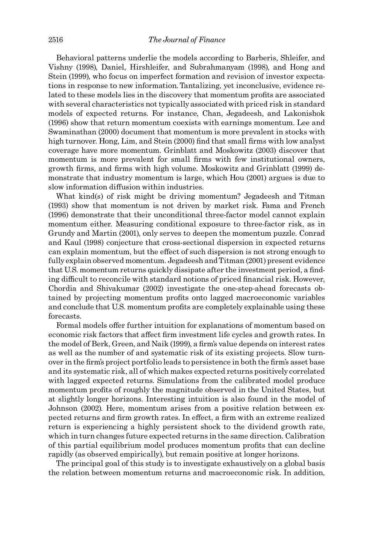Behavioral patterns underlie the models according to Barberis, Shleifer, and Vishny (1998), Daniel, Hirshleifer, and Subrahmanyam (1998), and Hong and Stein (1999), who focus on imperfect formation and revision of investor expectations in response to new information. Tantalizing, yet inconclusive, evidence related to these models lies in the discovery that momentum profits are associated with several characteristics not typically associated with priced risk in standard models of expected returns. For instance, Chan, Jegadeesh, and Lakonishok (1996) show that return momentum coexists with earnings momentum. Lee and Swaminathan (2000) document that momentum is more prevalent in stocks with high turnover. Hong, Lim, and Stein (2000) find that small firms with low analyst coverage have more momentum. Grinblatt and Moskowitz (2003) discover that momentum is more prevalent for small firms with few institutional owners, growth firms, and firms with high volume. Moskowitz and Grinblatt (1999) demonstrate that industry momentum is large, which Hou (2001) argues is due to slow information diffusion within industries.

What kind(s) of risk might be driving momentum? Jegadeesh and Titman (1993) show that momentum is not driven by market risk. Fama and French (1996) demonstrate that their unconditional three-factor model cannot explain momentum either. Measuring conditional exposure to three-factor risk, as in Grundy and Martin (2001), only serves to deepen the momentum puzzle. Conrad and Kaul (1998) conjecture that cross-sectional dispersion in expected returns can explain momentum, but the effect of such dispersion is not strong enough to fully explain observed momentum. Jegadeesh andTitman (2001) present evidence that U.S. momentum returns quickly dissipate after the investment period, a finding difficult to reconcile with standard notions of priced financial risk. However, Chordia and Shivakumar (2002) investigate the one-step-ahead forecasts obtained by projecting momentum profits onto lagged macroeconomic variables and conclude that U.S. momentum profits are completely explainable using these forecasts.

Formal models offer further intuition for explanations of momentum based on economic risk factors that affect firm investment life cycles and growth rates. In the model of Berk, Green, and Naik (1999), a firm's value depends on interest rates as well as the number of and systematic risk of its existing projects. Slow turnover in the firm's project portfolio leads to persistence in both the firm's asset base and its systematic risk, all of which makes expected returns positively correlated with lagged expected returns. Simulations from the calibrated model produce momentum profits of roughly the magnitude observed in the United States, but at slightly longer horizons. Interesting intuition is also found in the model of Johnson (2002). Here, momentum arises from a positive relation between expected returns and firm growth rates. In effect, a firm with an extreme realized return is experiencing a highly persistent shock to the dividend growth rate, which in turn changes future expected returns in the same direction. Calibration of this partial equilibrium model produces momentum profits that can decline rapidly (as observed empirically), but remain positive at longer horizons.

The principal goal of this study is to investigate exhaustively on a global basis the relation between momentum returns and macroeconomic risk. In addition,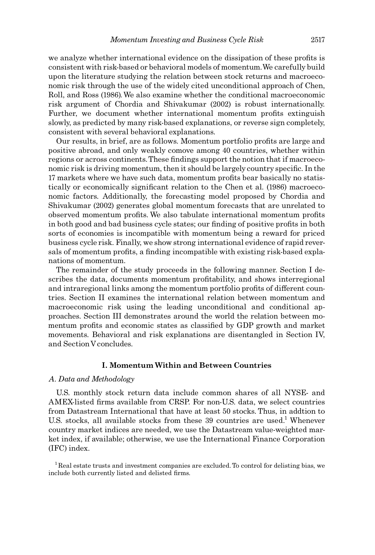we analyze whether international evidence on the dissipation of these profits is consistent with risk-based or behavioral models of momentum.We carefully build upon the literature studying the relation between stock returns and macroeconomic risk through the use of the widely cited unconditional approach of Chen, Roll, and Ross (1986).We also examine whether the conditional macroeconomic risk argument of Chordia and Shivakumar (2002) is robust internationally. Further, we document whether international momentum profits extinguish slowly, as predicted by many risk-based explanations, or reverse sign completely, consistent with several behavioral explanations.

Our results, in brief, are as follows. Momentum portfolio profits are large and positive abroad, and only weakly comove among 40 countries, whether within regions or across continents. These findings support the notion that if macroeconomic risk is driving momentum, then it should be largely country specific. In the 17 markets where we have such data, momentum profits bear basically no statistically or economically significant relation to the Chen et al. (1986) macroeconomic factors. Additionally, the forecasting model proposed by Chordia and Shivakumar (2002) generates global momentum forecasts that are unrelated to observed momentum profits. We also tabulate international momentum profits in both good and bad business cycle states; our finding of positive profits in both sorts of economies is incompatible with momentum being a reward for priced business cycle risk. Finally, we show strong international evidence of rapid reversals of momentum profits, a finding incompatible with existing risk-based explanations of momentum.

The remainder of the study proceeds in the following manner. Section I describes the data, documents momentum profitability, and shows interregional and intraregional links among the momentum portfolio profits of different countries. Section II examines the international relation between momentum and macroeconomic risk using the leading unconditional and conditional approaches. Section III demonstrates around the world the relation between momentum profits and economic states as classified by GDP growth and market movements. Behavioral and risk explanations are disentangled in Section IV, and Section V concludes.

## I. MomentumWithin and Between Countries

#### A. Data and Methodology

U.S. monthly stock return data include common shares of all NYSE- and AMEX-listed firms available from CRSP. For non-U.S. data, we select countries from Datastream International that have at least 50 stocks. Thus, in addtion to U.S. stocks, all available stocks from these 39 countries are used.<sup>1</sup> Whenever country market indices are needed, we use the Datastream value-weighted market index, if available; otherwise, we use the International Finance Corporation (IFC) index.

 $1$ Real estate trusts and investment companies are excluded. To control for delisting bias, we include both currently listed and delisted firms.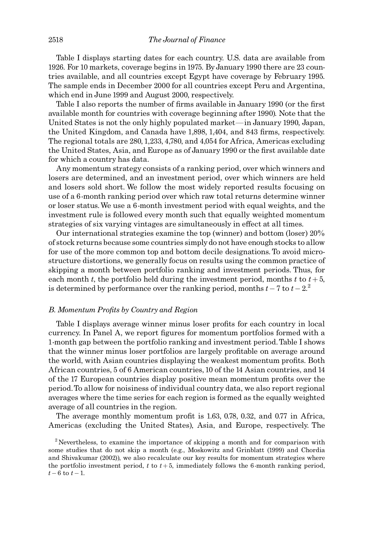Table I displays starting dates for each country. U.S. data are available from 1926. For 10 markets, coverage begins in 1975. By January 1990 there are 23 countries available, and all countries except Egypt have coverage by February 1995. The sample ends in December 2000 for all countries except Peru and Argentina, which end in June 1999 and August 2000, respectively.

Table I also reports the number of firms available in January 1990 (or the first available month for countries with coverage beginning after 1990). Note that the United States is not the only highly populated market—in January 1990, Japan, the United Kingdom, and Canada have 1,898, 1,404, and 843 firms, respectively. The regional totals are 280, 1,233, 4,780, and 4,054 for Africa, Americas excluding the United States, Asia, and Europe as of January 1990 or the first available date for which a country has data.

Any momentum strategy consists of a ranking period, over which winners and losers are determined, and an investment period, over which winners are held and losers sold short. We follow the most widely reported results focusing on use of a 6-month ranking period over which raw total returns determine winner or loser status.We use a 6-month investment period with equal weights, and the investment rule is followed every month such that equally weighted momentum strategies of six varying vintages are simultaneously in effect at all times.

Our international strategies examine the top (winner) and bottom (loser) 20% of stock returns because some countries simply do not have enough stocks to allow for use of the more common top and bottom decile designations. To avoid microstructure distortions, we generally focus on results using the common practice of skipping a month between portfolio ranking and investment periods. Thus, for each month t, the portfolio held during the investment period, months t to  $t + 5$ , is determined by performance over the ranking period, months  $t - 7$  to  $t - 2$ .

## B. Momentum Profits by Country and Region

Table I displays average winner minus loser profits for each country in local currency. In Panel A, we report figures for momentum portfolios formed with a 1-month gap between the portfolio ranking and investment period.Table I shows that the winner minus loser portfolios are largely profitable on average around the world, with Asian countries displaying the weakest momentum profits. Both African countries, 5 of 6 American countries, 10 of the 14 Asian countries, and 14 of the 17 European countries display positive mean momentum profits over the period.To allow for noisiness of individual country data, we also report regional averages where the time series for each region is formed as the equally weighted average of all countries in the region.

The average monthly momentum profit is  $1.63, 0.78, 0.32,$  and  $0.77$  in Africa, Americas (excluding the United States), Asia, and Europe, respectively. The

<sup>2</sup> Nevertheless, to examine the importance of skipping a month and for comparison with some studies that do not skip a month (e.g., Moskowitz and Grinblatt (1999) and Chordia and Shivakumar (2002)), we also recalculate our key results for momentum strategies where the portfolio investment period,  $t$  to  $t + 5$ , immediately follows the 6-month ranking period,  $t - 6$  to  $t - 1$ .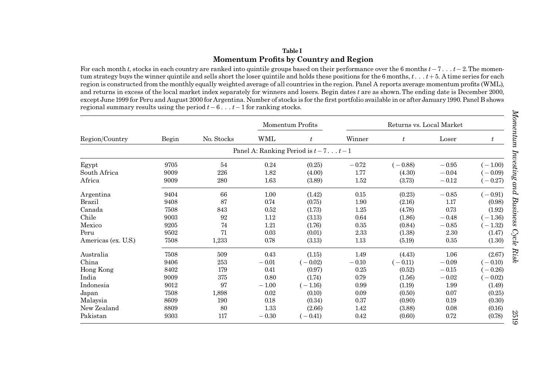# Table IMomentum Profits by Country and Region

For each month t, stocks in each country are ranked into quintile groups based on their performance over the 6 months  $t - 7...$   $t - 2$ . The momentum strategy buys the winner quintile and sells short the loser quintile and holds these positions for the 6 months,  $t_{i}$ ,  $t_{i}$ ,  $t_{i}$  + 5. A time series for each region is constructed from the monthly equally weighted average of all countries in the region. Panel A reports average momentum profits (WML), and returns in excess of the local market index separately for winners and losers. Begin dates <sup>t</sup> are as shown.The ending date is December 2000, except June 1999 for Peru and August 2000 for Argentina. Number of stocks is for the first portfolio available in or after January 1990. Panel B shows regional summary results using the period  $t-6...$   $t-1$  for ranking stocks.

|                     |       |            |         | Momentum Profits                    |         | Returns vs. Local Market |         |           |
|---------------------|-------|------------|---------|-------------------------------------|---------|--------------------------|---------|-----------|
| Region/Country      | Begin | No. Stocks | WML     | $\it t$                             | Winner  | $\boldsymbol{t}$         | Loser   | $\it t$   |
|                     |       |            |         | Panel A: Ranking Period is $t-7t-1$ |         |                          |         |           |
| Egypt               | 9705  | 54         | 0.24    | (0.25)                              | $-0.72$ | $(-0.88)$                | $-0.95$ | $(-1.00)$ |
| South Africa        | 9009  | 226        | 1.82    | (4.00)                              | 1.77    | (4.30)                   | $-0.04$ | $-0.09$   |
| Africa              | 9009  | 280        | 1.63    | (3.89)                              | 1.52    | (3.73)                   | $-0.12$ | $-0.27$   |
| Argentina           | 9404  | 66         | 1.00    | (1.42)                              | 0.15    | (0.23)                   | $-0.85$ | $(-0.91)$ |
| <b>Brazil</b>       | 9408  | 87         | 0.74    | (0.75)                              | 1.90    | (2.16)                   | 1.17    | (0.98)    |
| Canada              | 7508  | 843        | 0.52    | (1.73)                              | 1.25    | (4.78)                   | 0.73    | (1.92)    |
| Chile               | 9003  | 92         | 1.12    | (3.13)                              | 0.64    | (1.86)                   | $-0.48$ | $(-1.36)$ |
| Mexico              | 9205  | 74         | 1.21    | (1.76)                              | 0.35    | (0.84)                   | $-0.85$ | $(-1.32)$ |
| Peru                | 9502  | 71         | 0.03    | (0.01)                              | 2.33    | (1.38)                   | 2.30    | (1.47)    |
| Americas (ex. U.S.) | 7508  | 1,233      | 0.78    | (3.13)                              | 1.13    | (5.19)                   | 0.35    | (1.30)    |
| Australia           | 7508  | 509        | 0.43    | (1.15)                              | 1.49    | (4.43)                   | 1.06    | (2.67)    |
| China               | 9406  | 253        | $-0.01$ | $(-0.02)$                           | $-0.10$ | $(-0.11)$                | $-0.09$ | $(-0.10)$ |
| Hong Kong           | 8402  | 179        | 0.41    | (0.97)                              | 0.25    | (0.52)                   | $-0.15$ | $-0.26$   |
| India               | 9009  | 375        | 0.80    | (1.74)                              | 0.79    | (1.56)                   | $-0.02$ | $-0.02$   |
| Indonesia           | 9012  | 97         | $-1.00$ | $(-1.16)$                           | 0.99    | (1.19)                   | 1.99    | (1.49)    |
| Japan               | 7508  | 1,898      | 0.02    | (0.10)                              | 0.09    | (0.50)                   | 0.07    | (0.25)    |
| Malaysia            | 8609  | 190        | 0.18    | (0.34)                              | 0.37    | (0.90)                   | 0.19    | (0.30)    |
| New Zealand         | 8809  | 80         | 1.33    | (2.66)                              | 1.42    | (3.88)                   | 0.08    | (0.16)    |
| Pakistan            | 9303  | 117        | $-0.30$ | $(-0.41)$                           | 0.42    | (0.60)                   | 0.72    | (0.78)    |

2519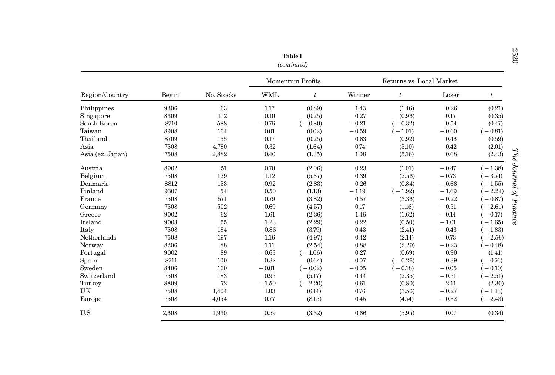|                  |       |            |            | <b>Table I</b><br>(continued) |         |                          |         |           | 2520                   |
|------------------|-------|------------|------------|-------------------------------|---------|--------------------------|---------|-----------|------------------------|
|                  |       |            |            | Momentum Profits              |         | Returns vs. Local Market |         |           |                        |
| Region/Country   | Begin | No. Stocks | <b>WML</b> | $t\,$                         | Winner  | t                        | Loser   | $t\,$     |                        |
| Philippines      | 9306  | 63         | 1.17       | (0.89)                        | 1.43    | (1.46)                   | 0.26    | (0.21)    |                        |
| Singapore        | 8309  | 112        | 0.10       | (0.25)                        | 0.27    | (0.96)                   | 0.17    | (0.35)    |                        |
| South Korea      | 8710  | 588        | $-0.76$    | $(-0.80)$                     | $-0.21$ | $(-0.32)$                | 0.54    | (0.47)    |                        |
| Taiwan           | 8908  | 164        | 0.01       | (0.02)                        | $-0.59$ | $(-1.01)$                | $-0.60$ | $(-0.81)$ |                        |
| Thailand         | 8709  | 155        | 0.17       | (0.25)                        | 0.63    | (0.92)                   | 0.46    | (0.59)    |                        |
| Asia             | 7508  | 4,780      | 0.32       | (1.64)                        | 0.74    | (5.10)                   | 0.42    | (2.01)    |                        |
| Asia (ex. Japan) | 7508  | 2,882      | 0.40       | (1.35)                        | 1.08    | (5.16)                   | 0.68    | (2.43)    | The Journal of Finance |
| Austria          | 8902  | 51         | 0.70       | (2.06)                        | 0.23    | (1.01)                   | $-0.47$ | $(-1.38)$ |                        |
| Belgium          | 7508  | 129        | 1.12       | (5.67)                        | 0.39    | (2.56)                   | $-0.73$ | $(-3.74)$ |                        |
| Denmark          | 8812  | 153        | 0.92       | (2.83)                        | 0.26    | (0.84)                   | $-0.66$ | $(-1.55)$ |                        |
| Finland          | 9307  | 54         | 0.50       | (1.13)                        | $-1.19$ | $(-1.92)$                | $-1.69$ | $(-2.24)$ |                        |
| France           | 7508  | 571        | 0.79       | (3.82)                        | 0.57    | (3.36)                   | $-0.22$ | $(-0.87)$ |                        |
| Germany          | 7508  | 502        | 0.69       | (4.57)                        | 0.17    | (1.16)                   | $-0.51$ | $(-2.61)$ |                        |
| Greece           | 9002  | 62         | 1.61       | (2.36)                        | 1.46    | (1.62)                   | $-0.14$ | $(-0.17)$ |                        |
| Ireland          | 9003  | 55         | 1.23       | (2.29)                        | 0.22    | (0.50)                   | $-1.01$ | $-1.65$   |                        |
| Italy            | 7508  | 184        | 0.86       | (3.79)                        | 0.43    | (2.41)                   | $-0.43$ | $(-1.83)$ |                        |
| Netherlands      | 7508  | 197        | 1.16       | (4.97)                        | 0.42    | (2.14)                   | $-0.73$ | $(-2.56)$ |                        |
| Norway           | 8206  | 88         | 1.11       | (2.54)                        | 0.88    | (2.29)                   | $-0.23$ | $(-0.48)$ |                        |
| Portugal         | 9002  | 89         | $-0.63$    | $(-1.06)$                     | 0.27    | (0.69)                   | 0.90    | (1.41)    |                        |
| Spain            | 8711  | 100        | 0.32       | (0.64)                        | $-0.07$ | $(-0.26)$                | $-0.39$ | $(-0.76)$ |                        |
| Sweden           | 8406  | 160        | $-0.01$    | $(-0.02)$                     | $-0.05$ | $(-0.18)$                | $-0.05$ | $(-0.10)$ |                        |
| Switzerland      | 7508  | 183        | 0.95       | (5.17)                        | 0.44    | (2.35)                   | $-0.51$ | $(-2.51)$ |                        |
| Turkey           | 8809  | 72         | $-1.50$    | $(-2.20)$                     | 0.61    | (0.80)                   | 2.11    | (2.30)    |                        |
| UK               | 7508  | 1,404      | 1.03       | (6.14)                        | 0.76    | (3.56)                   | $-0.27$ | $(-1.13)$ |                        |
| Europe           | 7508  | 4,054      | 0.77       | (8.15)                        | 0.45    | (4.74)                   | $-0.32$ | $(-2.43)$ |                        |
| U.S.             | 2,608 | 1.930      | 0.59       | (3.32)                        | 0.66    | (5.95)                   | 0.07    | (0.34)    |                        |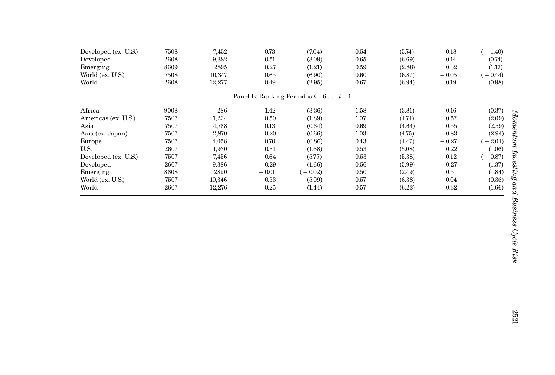| Developed (ex. U.S.)<br>Developed<br>Emerging<br>World (ex. U.S.) | 7508<br>2608<br>8609<br>7508 | 7,452<br>9,382<br>2895<br>10,347 | 0.73<br>0.51<br>0.27<br>0.65 | (7.04)<br>(3.09)<br>(1.21)<br>(6.90)          | 0.54<br>0.65<br>0.59<br>0.60 | (5.74)<br>(6.69)<br>(2.88)<br>(6.87) | $-0.18$<br>0.14<br>0.32<br>$-0.05$ | $-1.40$<br>(0.74)<br>(1.17)<br>$-0.44$ |
|-------------------------------------------------------------------|------------------------------|----------------------------------|------------------------------|-----------------------------------------------|------------------------------|--------------------------------------|------------------------------------|----------------------------------------|
| World                                                             | 2608                         | 12,277                           | 0.49                         | (2.95)<br>Panel B: Ranking Period is $t-6t-1$ | 0.67                         | (6.94)                               | 0.19                               | (0.98)                                 |
|                                                                   |                              |                                  |                              |                                               |                              |                                      |                                    |                                        |
| Africa                                                            | 9008                         | 286                              | 1.42                         | (3.36)                                        | 1.58                         | (3.81)                               | 0.16                               | (0.37)                                 |
| Americas (ex. U.S.)                                               | 7507                         | 1,234                            | 0.50                         | (1.89)                                        | 1.07                         | (4.74)                               | 0.57                               | (2.09)                                 |
| Asia                                                              | 7507                         | 4,768                            | 0.13                         | (0.64)                                        | 0.69                         | (4.64)                               | 0.55                               | (2.59)                                 |
| Asia (ex. Japan)                                                  | 7507                         | 2,870                            | 0.20                         | (0.66)                                        | 1.03                         | (4.75)                               | 0.83                               | (2.94)                                 |
| Europe                                                            | 7507                         | 4,058                            | 0.70                         | (6.86)                                        | 0.43                         | (4.47)                               | $-0.27$                            | $-2.04)$                               |
| U.S.                                                              | 2607                         | 1,930                            | 0.31                         | (1.68)                                        | 0.53                         | (5.08)                               | 0.22                               | (1.06)                                 |
| Developed (ex. U.S.)                                              | 7507                         | 7,456                            | 0.64                         | (5.77)                                        | 0.53                         | (5.38)                               | $-0.12$                            | $(-0.87)$                              |
| Developed                                                         | 2607                         | 9,386                            | 0.29                         | (1.66)                                        | 0.56                         | (5.99)                               | 0.27                               | (1.37)                                 |
| Emerging                                                          | 8608                         | 2890                             | $-0.01$                      | $-0.02$                                       | 0.50                         | (2.49)                               | 0.51                               | (1.84)                                 |
| World (ex. U.S.)                                                  | 7507                         | 10,346                           | 0.53                         | (5.09)                                        | 0.57                         | (6.38)                               | 0.04                               | (0.36)                                 |
| World                                                             | 2607                         | 12,276                           | 0.25                         | (1.44)                                        | 0.57                         | (6.23)                               | 0.32                               | (1.66)                                 |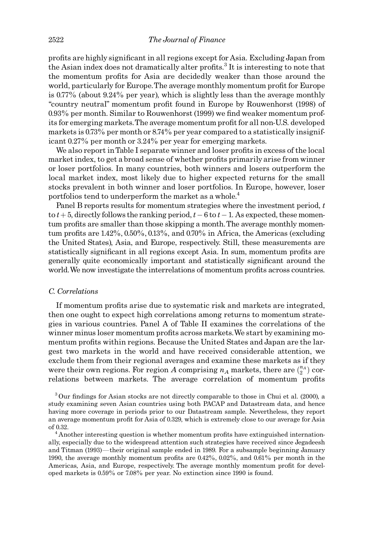pro¢ts are highly signi¢cant in all regions except for Asia. Excluding Japan from the Asian index does not dramatically alter profits.<sup>3</sup> It is interesting to note that the momentum pro¢ts for Asia are decidedly weaker than those around the world, particularly for Europe. The average monthly momentum profit for Europe is 0.77% (about 9.24% per year), which is slightly less than the average monthly ''country neutral'' momentum pro¢t found in Europe by Rouwenhorst (1998) of 0.93% per month. Similar to Rouwenhorst (1999) we ¢nd weaker momentum profits for emerging markets. The average momentum profit for all non-U.S. developed markets is 0.73% per month or 8.74% per year compared to a statistically insignificant 0.27% per month or 3.24% per year for emerging markets.

We also report in Table I separate winner and loser profits in excess of the local market index, to get a broad sense of whether profits primarily arise from winner or loser portfolios. In many countries, both winners and losers outperform the local market index, most likely due to higher expected returns for the small stocks prevalent in both winner and loser portfolios. In Europe, however, loser portfolios tend to underperform the market as a whole.<sup>4</sup>

Panel B reports results for momentum strategies where the investment period,  $t$ to  $t+5$ , directly follows the ranking period,  $t-6$  to  $t-1$ . As expected, these momentum profits are smaller than those skipping a month. The average monthly momentum profits are  $1.42\%$ ,  $0.50\%$ ,  $0.13\%$ , and  $0.70\%$  in Africa, the Americas (excluding the United States), Asia, and Europe, respectively. Still, these measurements are statistically significant in all regions except Asia. In sum, momentum profits are generally quite economically important and statistically significant around the world. We now investigate the interrelations of momentum profits across countries.

#### C. Correlations

If momentum profits arise due to systematic risk and markets are integrated, then one ought to expect high correlations among returns to momentum strategies in various countries. Panel A of Table II examines the correlations of the winner minus loser momentum profits across markets. We start by examining momentum profits within regions. Because the United States and Japan are the largest two markets in the world and have received considerable attention, we exclude them from their regional averages and examine these markets as if they were their own regions. For region A comprising  $n_A$  markets, there are  $\binom{n_A}{2}$  correlations between markets. The average correlation of momentum profits

 $3$  Our findings for Asian stocks are not directly comparable to those in Chui et al. (2000), a study examining seven Asian countries using both PACAP and Datastream data, and hence having more coverage in periods prior to our Datastream sample. Nevertheless, they report an average momentum profit for Asia of 0.329, which is extremely close to our average for Asia

of 0.32.<br><sup>4</sup> Another interesting question is whether momentum profits have extinguished internationally, especially due to the widespread attention such strategies have received since Jegadeesh and Titman (1993)—their original sample ended in 1989. For a subsample beginning January 1990, the average monthly momentum profits are  $0.42\%$ ,  $0.02\%$ , and  $0.61\%$  per month in the Americas, Asia, and Europe, respectively. The average monthly momentum profit for developed markets is 0.59% or 7.08% per year. No extinction since 1990 is found.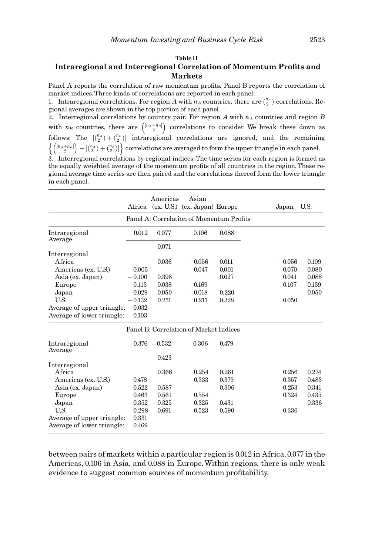# Table II Intraregional and Interregional Correlation of Momentum Profits and Markets

Panel A reports the correlation of raw momentum profits. Panel B reports the correlation of market indices.Three kinds of correlations are reported in each panel:

1. Intraregional correlations. For region A with  $n_A$  countries, there are  $\binom{n_A}{2}$  correlations. Regional averages are shown in the top portion of each panel.

2. Interregional correlations by country pair. For region A with  $n_A$  countries and region B with  $n_B$  countries, there are  $\binom{[n_A+n_B]}{2}$  $\binom{[n_A+n_B]}{2}$  correlations to consider. We break these down as follows: The  $\begin{bmatrix} {n_A} \\ 2 \end{bmatrix}$  intraregional correlations are ignored, and the remaining  $\frac{[n_A+n_B]}{2}$  $\left\{ \left( \frac{[n_A + n_B]}{2} \right) - \left[ \frac{n_A}{2} \right) + \frac{n_B}{2} \right\}$  correlations are averaged to form the upper triangle in each panel. 3. Interregional correlations by regional indices. The time series for each region is formed as the equally weighted average of the momentum profits of all countries in the region. These re-

gional average time series are then paired and the correlations thereof form the lower triangle in each panel.

|                            |          | Americas    | Asian<br>Africa (ex. U.S.) (ex. Japan) Europe |                                          | Japan | U.S.             |
|----------------------------|----------|-------------|-----------------------------------------------|------------------------------------------|-------|------------------|
|                            |          |             |                                               | Panel A: Correlation of Momentum Profits |       |                  |
| Intraregional<br>Average   | 0.012    | 0.077       | 0.106                                         | 0.088                                    |       |                  |
|                            |          | 0.071       |                                               |                                          |       |                  |
| Interregional              |          |             |                                               |                                          |       |                  |
| Africa                     |          | 0.036       | $-0.056$                                      | 0.011                                    |       | $-0.056 - 0.109$ |
| Americas (ex. U.S.)        | $-0.005$ |             | 0.047                                         | 0.001                                    | 0.070 | 0.080            |
| Asia (ex. Japan)           | $-0.100$ | 0.398       |                                               | 0.027                                    | 0.041 | 0.088            |
| Europe                     | 0.113    | 0.038       | 0.169                                         |                                          | 0.107 | 0.139            |
| Japan                      | $-0.029$ | 0.050       | $-0.018$                                      | 0.220                                    |       | 0.050            |
| U.S.                       | $-0.132$ | 0.251       | 0.211                                         | 0.328                                    | 0.050 |                  |
| Average of upper triangle: | 0.032    |             |                                               |                                          |       |                  |
| Average of lower triangle: | 0.103    |             |                                               |                                          |       |                  |
|                            |          |             | Panel B: Correlation of Market Indices        |                                          |       |                  |
| Intu                       | 0.97C    | <b>OE90</b> | n one                                         | 0.470                                    |       |                  |

| Intraregional<br>Average   | 0.376 | 0.532 | 0.306 | 0.479 |       |       |
|----------------------------|-------|-------|-------|-------|-------|-------|
|                            |       | 0.423 |       |       |       |       |
| Interregional              |       |       |       |       |       |       |
| Africa                     |       | 0.366 | 0.254 | 0.261 | 0.256 | 0.274 |
| Americas (ex. U.S.)        | 0.478 |       | 0.333 | 0.379 | 0.357 | 0.483 |
| Asia (ex. Japan)           | 0.522 | 0.587 |       | 0.306 | 0.253 | 0.341 |
| Europe                     | 0.463 | 0.561 | 0.554 |       | 0.324 | 0.435 |
| Japan                      | 0.352 | 0.325 | 0.325 | 0.431 |       | 0.336 |
| U.S.                       | 0.298 | 0.691 | 0.523 | 0.590 | 0.336 |       |
| Average of upper triangle: | 0.331 |       |       |       |       |       |
| Average of lower triangle: | 0.469 |       |       |       |       |       |

between pairs of markets within a particular region is 0.012 in Africa, 0.077 in the Americas, 0.106 in Asia, and 0.088 in Europe.Within regions, there is only weak evidence to suggest common sources of momentum profitability.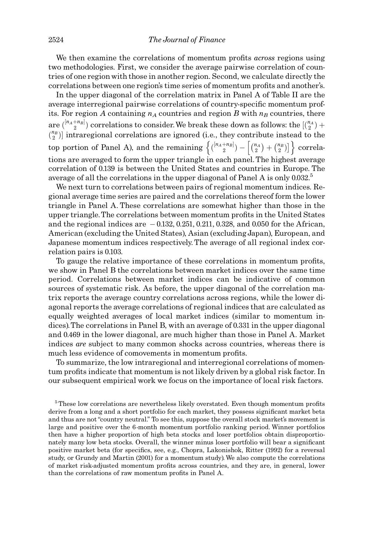We then examine the correlations of momentum profits *across* regions using two methodologies. First, we consider the average pairwise correlation of countries of one region with those in another region. Second, we calculate directly the correlations between one region's time series of momentum profits and another's.

In the upper diagonal of the correlation matrix in Panel A of Table II are the average interregional pairwise correlations of country-specific momentum profits. For region A containing  $n_A$  countries and region B with  $n_B$  countries, there are  $\binom{[n_A+n_B]}{2}$  correlations to consider. We break these down as follows: the  $\lfloor\binom{n_A}{2}+1\rfloor$  $\binom{n_B}{2}$  intraregional correlations are ignored (i.e., they contribute instead to the top portion of Panel A), and the remaining  $\left\{ \binom{[n_A+n_B]}{2} - \binom{n_A}{2} + \binom{n_B}{2} \right\}$  $\left\{ \binom{[n_A+n_B]}{2} - \left[ \binom{n_A}{2} + \binom{n_B}{2} \right] \right\}$  correlations are averaged to form the upper triangle in each panel. The highest average correlation of 0.139 is between the United States and countries in Europe. The average of all the correlations in the upper diagonal of Panel A is only  $0.032<sup>5</sup>$ 

We next turn to correlations between pairs of regional momentum indices. Regional average time series are paired and the correlations thereof form the lower triangle in Panel A. These correlations are somewhat higher than those in the upper triangle. The correlations between momentum profits in the United States and the regional indices are  $-0.132, 0.251, 0.211, 0.328,$  and 0.050 for the African, American (excluding the United States), Asian (excluding Japan), European, and Japanese momentum indices respectively. The average of all regional index correlation pairs is 0.103.

To gauge the relative importance of these correlations in momentum profits, we show in Panel B the correlations between market indices over the same time period. Correlations between market indices can be indicative of common sources of systematic risk. As before, the upper diagonal of the correlation matrix reports the average country correlations across regions, while the lower diagonal reports the average correlations of regional indices that are calculated as equally weighted averages of local market indices (similar to momentum indices).The correlations in Panel B, with an average of 0.331 in the upper diagonal and 0.469 in the lower diagonal, are much higher than those in Panel A. Market indices are subject to many common shocks across countries, whereas there is much less evidence of comovements in momentum profits.

To summarize, the low intraregional and interregional correlations of momentum profits indicate that momentum is not likely driven by a global risk factor. In our subsequent empirical work we focus on the importance of local risk factors.

 $5$ These low correlations are nevertheless likely overstated. Even though momentum profits derive from a long and a short portfolio for each market, they possess significant market beta and thus are not "country neutral." To see this, suppose the overall stock market's movement is large and positive over the 6-month momentum portfolio ranking period. Winner portfolios then have a higher proportion of high beta stocks and loser portfolios obtain disproportionately many low beta stocks. Overall, the winner minus loser portfolio will bear a significant positive market beta (for specifics, see, e.g., Chopra, Lakonishok, Ritter (1992) for a reversal study, or Grundy and Martin (2001) for a momentum study).We also compute the correlations of market risk-adjusted momentum profits across countries, and they are, in general, lower than the correlations of raw momentum profits in Panel A.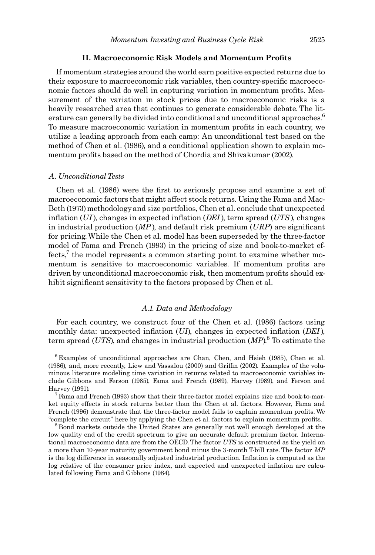## II. Macroeconomic Risk Models and Momentum Profits

If momentum strategies around the world earn positive expected returns due to their exposure to macroeconomic risk variables, then country-specific macroeconomic factors should do well in capturing variation in momentum profits. Measurement of the variation in stock prices due to macroeconomic risks is a heavily researched area that continues to generate considerable debate. The literature can generally be divided into conditional and unconditional approaches.<sup>6</sup> To measure macroeconomic variation in momentum profits in each country, we utilize a leading approach from each camp: An unconditional test based on the method of Chen et al. (1986), and a conditional application shown to explain momentum profits based on the method of Chordia and Shivakumar (2002).

#### A. Unconditional Tests

Chen et al. (1986) were the first to seriously propose and examine a set of macroeconomic factors that might affect stock returns. Using the Fama and Mac-Beth (1973) methodology and size portfolios, Chen et al. conclude that unexpected inflation  $(UI)$ , changes in expected inflation  $(DEI)$ , term spread  $(UTS)$ , changes in industrial production ( $MP$ ), and default risk premium ( $URP$ ) are significant for pricing.While the Chen et al. model has been superseded by the three-factor model of Fama and French (1993) in the pricing of size and book-to-market ef $fects<sup>7</sup>$ , the model represents a common starting point to examine whether momentum is sensitive to macroeconomic variables. If momentum profits are driven by unconditional macroeconomic risk, then momentum profits should exhibit significant sensitivity to the factors proposed by Chen et al.

## A.1. Data and Methodology

For each country, we construct four of the Chen et al. (1986) factors using monthly data: unexpected inflation  $(UI)$ , changes in expected inflation  $(DEI)$ , term spread (UTS), and changes in industrial production  $(MP)^8$  To estimate the

 $6$  Examples of unconditional approaches are Chan, Chen, and Hsieh (1985), Chen et al.  $(1986)$ , and, more recently, Liew and Vassalou  $(2000)$  and Griffin  $(2002)$ . Examples of the voluminous literature modeling time variation in returns related to macroeconomic variables include Gibbons and Ferson (1985), Fama and French (1989), Harvey (1989), and Ferson and Harvey (1991).<br><sup>7</sup> Fama and French (1993) show that their three-factor model explains size and book-to-mar-

ket equity effects in stock returns better than the Chen et al. factors. However, Fama and French (1996) demonstrate that the three-factor model fails to explain momentum profits. We "complete the circuit" here by applying the Chen et al. factors to explain momentum profits.<br><sup>8</sup> Bond markets outside the United States are generally not well enough developed at the

low quality end of the credit spectrum to give an accurate default premium factor. International macroeconomic data are from the OECD. The factor UTS is constructed as the yield on a more than 10-year maturity government bond minus the 3-month T-bill rate. The factor MP is the log difference in seasonally adjusted industrial production. Inflation is computed as the log relative of the consumer price index, and expected and unexpected inflation are calculated following Fama and Gibbons (1984).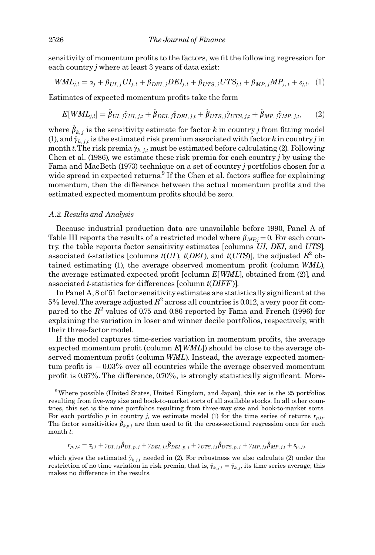sensitivity of momentum profits to the factors, we fit the following regression for each country *j* where at least 3 years of data exist:

$$
WML_{j,t} = \alpha_j + \beta_{UI,j}UI_{j,t} + \beta_{DEL,j}DEL_{j,t} + \beta_{UTS,j}UTS_{j,t} + \beta_{MP,j}MP_{j,t} + \varepsilon_{j,t}.
$$
 (1)

Estimates of expected momentum profits take the form

$$
E[WML_{j,t}] = \hat{\beta}_{UI,j}\hat{\gamma}_{UI,j,t} + \hat{\beta}_{DEL,j}\hat{\gamma}_{DEL,j,t} + \hat{\beta}_{UTS,j}\hat{\gamma}_{UTS,j,t} + \hat{\beta}_{MP,j}\hat{\gamma}_{MP,j,t},
$$
(2)

where  $\hat{\beta}_{k,j}$  is the sensitivity estimate for factor k in country j from fitting model (1), and  $\hat{\gamma}_{k,i,t}$  is the estimated risk premium associated with factor k in country j in month t. The risk premia  $\hat{\gamma}_{k, j,t}$  must be estimated before calculating (2). Following Chen et al.  $(1986)$ , we estimate these risk premia for each country j by using the Fama and MacBeth (1973) technique on a set of country j portfolios chosen for a wide spread in expected returns.<sup>9</sup> If the Chen et al. factors suffice for explaining momentum, then the difference between the actual momentum profits and the estimated expected momentum profits should be zero.

## A.2. Results and Analysis

Because industrial production data are unavailable before 1990, Panel A of Table III reports the results of a restricted model where  $\beta_{MP,i} = 0$ . For each country, the table reports factor sensitivity estimates [columns UI, DEI, and UTS], associated t-statistics [columns  $t(UI)$ ,  $t(DEI)$ , and  $t(UTS)$ ], the adjusted  $R^2$  obtained estimating  $(1)$ , the average observed momentum profit (column WML), the average estimated expected profit [column  $E[WML]$ , obtained from (2)], and associated t-statistics for differences [column  $t(DIFF)$ ].

In Panel A,  $8$  of 51 factor sensitivity estimates are statistically significant at the  $5\%$  level. The average adjusted  $R^2$  across all countries is 0.012, a very poor fit compared to the  $R^2$  values of 0.75 and 0.86 reported by Fama and French (1996) for explaining the variation in loser and winner decile portfolios, respectively, with their three-factor model.

If the model captures time-series variation in momentum profits, the average expected momentum profit (column  $E[WML]$ ) should be close to the average observed momentum profit (column WML). Instead, the average expected momentum profit is  $-0.03\%$  over all countries while the average observed momentum profit is  $0.67\%$ . The difference,  $0.70\%$ , is strongly statistically significant. More-

9Where possible (United States, United Kingdom, and Japan), this set is the 25 portfolios resulting from five-way size and book-to-market sorts of all available stocks. In all other countries, this set is the nine portfolios resulting from three-way size and book-to-market sorts. For each portfolio p in country j, we estimate model (1) for the time series of returns  $r_{p,j,t}$ . The factor sensitivities  $\hat{\beta}_{k,p,j}$  are then used to fit the cross-sectional regression once for each month t:

$$
r_{p,\ j,t} = \alpha_{j,t} + \gamma_{UI,\ j,t} \hat{\pmb{\beta}}_{UI,\ p,\ j} + \gamma_{DEL,\ j,t} \hat{\pmb{\beta}}_{DEL,\ p,\ j} + \gamma_{UTS,\ j,t} \hat{\pmb{\beta}}_{UTS,\ p,\ j} + \gamma_{MP,\ j,t} \hat{\pmb{\beta}}_{MP,\ j,t} + \varepsilon_{p,\ j,t}
$$

which gives the estimated  $\hat{\gamma}_{k,i,t}$  needed in (2). For robustness we also calculate (2) under the restriction of no time variation in risk premia, that is,  $\hat{\gamma}_{k,j,t} = \hat{\gamma}_{k,j}$ , its time series average; this makes no difference in the results.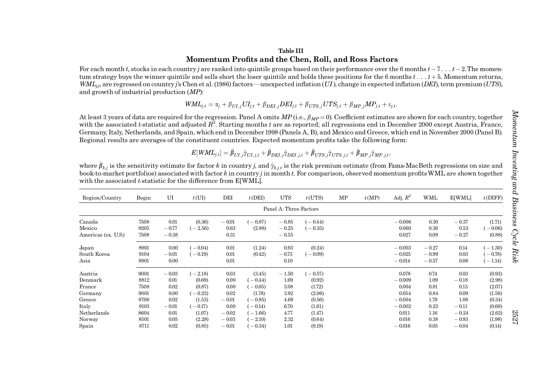## Table IIIMomentum Profits and the Chen, Roll, and Ross Factors

For each month t, stocks in each country jare ranked into quintile groups based on their performance over the 6 months  $t - 7...$   $t - 2$ . The momentum strategy buys the winner quintile and sells short the loser quintile and holds these positions for the 6 months  $t \ldots t + 5$ . Momentum returns,  $WML_{i}$ , are regressed on country j's Chen et al. (1986) factors—unexpected inflation (UI), change in expected inflation (DEI), term premium (UTS), and growth of industrial production (MP):

$$
WML_{j,t} = \alpha_j + \beta_{UI,j}UI_{j,t} + \beta_{DEL,j}DEL_{j,t} + \beta_{UTS,j}UTS_{j,t} + \beta_{MP,j}MP_{j,t} + \varepsilon_{j,t}.
$$

At least 3 years of data are required for the regression. Panel A omits  $MP$  (i.e.,  $\beta_{MP} = 0$ ). Coefficient estimates are shown for each country, together with the associated t-statistic and adjusted  $R^2$ . Starting months t are as reported; all regressions end in December 2000 except Austria, France, Germany, Italy, Netherlands, and Spain, which end in December 1998 (Panels A, B), and Mexico and Greece, which end in November 2000 (Panel B). Regional results are averages of the constituent countries. Expected momentum profits take the following form:

$$
E[WML_{j,t}] = \hat{\beta}_{UI,j} \hat{\gamma}_{UI,j,t} + \hat{\beta}_{DEL,j} \hat{\gamma}_{DEL,j,t} + \hat{\beta}_{UTS,j} \hat{\gamma}_{UTS,j,t} + \hat{\beta}_{MP,j} \hat{\gamma}_{MP,j,t},
$$

where  $\hat{\pmb{\beta}}_{k,j}$  is the sensitivity estimate for factor  $k$  in country  $j$ , and  $\hat{\gamma}_{k,j,t}$  is the risk premium estimate (from Fama-MacBeth regressions on size and book-to-market portfolios) associated with factor  $k$  in country j in month  $t$ . For comparison, observed momentum profits WML are shown together with the associated *t*-statistic for the difference from  $E[WHL]$ .

| Region/Country                | Begin        | UI                 | t(UI)     | DEI          | $t$ (DEI) | <b>UTS</b>             | $t$ (UTS) | MP | t(MP) | Adj. $R^2$           | WML                | <b>E[WML]</b>   | $t$ (DIFF)          |
|-------------------------------|--------------|--------------------|-----------|--------------|-----------|------------------------|-----------|----|-------|----------------------|--------------------|-----------------|---------------------|
|                               |              |                    |           |              |           | Panel A: Three Factors |           |    |       |                      |                    |                 |                     |
| Canada                        | 7508         | 0.01               | (0.36)    | $-0.01$      | $-0.87$   | $-0.85$                | $-0.44$   |    |       | $-0.006$             | 0.30               | $-0.37$         | (1.71)              |
| Mexico<br>Americas (ex. U.S.) | 9205<br>7508 | $-0.77$<br>$-0.38$ | $-2.56$   | 0.63<br>0.31 | (2.88)    | $-0.25$<br>$-0.55$     | $(-0.35)$ |    |       | 0.060<br>0.027       | 0.36<br>0.09       | 0.53<br>$-0.27$ | $-0.06$<br>(0.88)   |
| Japan                         | 8901         | 0.00               | $-0.04$ ) | 0.01         | (1.24)    | 0.93                   | (0.24)    |    |       | $-0.003$             | $-0.27$            | 0.14            | $-1.30$             |
| South Korea<br>Asia           | 9104<br>8901 | $-0.01$<br>0.00    | $-0.19$   | 0.01<br>0.01 | (0.42)    | $-0.73$<br>0.10        | $-0.09$   |    |       | $-0.025$<br>$-0.014$ | $-0.99$<br>$-0.57$ | 0.03<br>0.08    | $-0.78$<br>$-1.14)$ |
| Austria                       | 9001         | $-0.03$            | $-2.18$   | 0.03         | (3.45)    | $-1.50$                | $-0.57$   |    |       | 0.078                | 0.74               | 0.03            | (0.93)              |
| Denmark                       | 8812         | 0.01               | (0.69)    | 0.00         | $-0.44$   | 1.69                   | (0.92)    |    |       | $-0.009$             | 1.09               | $-0.18$         | (2.98)              |
| France                        | 7508         | 0.02               | (0.87)    | 0.00         | $-0.05$   | 3.08                   | (1.72)    |    |       | 0.004                | 0.81               | 0.13            | (2.07)              |
| Germany                       | 9001         | $0.00\,$           | $-0.23$   | 0.02         | (1.78)    | 3.92                   | (2.06)    |    |       | 0.054                | 0.84               | 0.09            | (1.58)              |
| Greece                        | 9706         | 0.02               | (1.53)    | $-0.01$      | $-0.85$   | 4.69                   | (0.56)    |    |       | $-0.004$             | 1.79               | 1.08            | (0.34)              |
| Italy                         | 9103         | $-0.01$            | $-0.17$ ) | 0.00         | $-0.14)$  | 6.70                   | (1.61)    |    |       | $-0.002$             | 0.23               | $-0.11$         | (0.68)              |
| Netherlands                   | 8604         | 0.01               | (1.07)    | $-0.02$      | $-1.66$   | 4.77                   | (1.47)    |    |       | 0.011                | 1.16               | $-0.24$         | (2.62)              |
| Norway                        | 8501         | 0.05               | (2.28)    | $-0.03$      | $-2.10$   | 2.32                   | (0.64)    |    |       | 0.016                | 0.38               | $-0.93$         | (1.98)              |
| Spain                         | 8711         | 0.02               | (0.85)    | $-0.01$      | $-0.34)$  | 1.01                   | (0.19)    |    |       | $-0.016$             | 0.05               | $-0.04$         | (0.14)              |

2527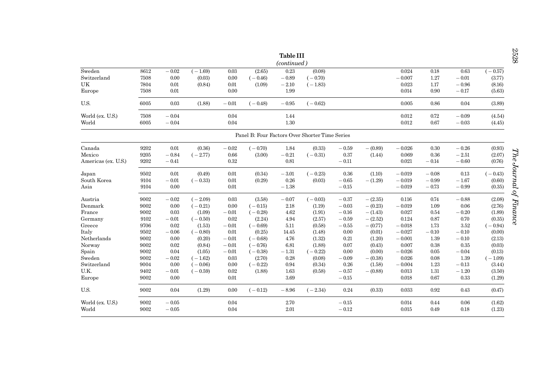| <b>Table III</b>    |                                                |         |           |         |           |         |           |         |            |          |         |         |           |  |  |
|---------------------|------------------------------------------------|---------|-----------|---------|-----------|---------|-----------|---------|------------|----------|---------|---------|-----------|--|--|
|                     | (continued)                                    |         |           |         |           |         |           |         |            |          |         |         |           |  |  |
| Sweden              | 8612                                           | $-0.02$ | $(-1.69)$ | 0.03    | (2.65)    | 0.23    | (0.08)    |         |            | 0.024    | 0.18    | 0.63    | $(-0.57)$ |  |  |
| Switzerland         | 7508                                           | 0.00    | (0.03)    | 0.00    | $(-0.46)$ | $-0.89$ | $(-0.70)$ |         |            | $-0.007$ | 1.27    | $-0.01$ | (3.77)    |  |  |
| UK                  | 7804                                           | 0.01    | (0.84)    | 0.01    | (1.09)    | $-2.10$ | $(-1.83)$ |         |            | 0.023    | 1.17    | $-0.96$ | (8.16)    |  |  |
| Europe              | 7508                                           | 0.01    |           | 0.00    |           | 1.99    |           |         |            | 0.014    | 0.90    | $-0.17$ | (5.63)    |  |  |
| U.S.                | 6005                                           | 0.03    | (1.88)    | $-0.01$ | $(-0.48)$ | $-0.95$ | $(-0.62)$ |         |            | 0.005    | 0.86    | 0.04    | (3.89)    |  |  |
| World (ex. U.S.)    | 7508                                           | $-0.04$ |           | 0.04    |           | 1.44    |           |         |            | 0.012    | 0.72    | $-0.09$ | (4.54)    |  |  |
| World               | 6005                                           | $-0.04$ |           | 0.04    |           | 1.30    |           |         |            | 0.012    | 0.67    | $-0.03$ | (4.45)    |  |  |
|                     | Panel B: Four Factors Over Shorter Time Series |         |           |         |           |         |           |         |            |          |         |         |           |  |  |
| Canada              | 9202                                           | 0.01    | (0.36)    | $-0.02$ | $(-0.70)$ | 1.84    | (0.33)    | $-0.59$ | $- (0.89)$ | $-0.026$ | 0.30    | $-0.26$ | (0.93)    |  |  |
| Mexico              | 9205                                           | $-0.84$ | $(-2.77)$ | 0.66    | (3.00)    | $-0.21$ | $(-0.31)$ | 0.37    | (1.44)     | 0.069    | 0.36    | $-2.51$ | (2.07)    |  |  |
| Americas (ex. U.S.) | 9202                                           | $-0.41$ |           | 0.32    |           | 0.81    |           | $-0.11$ |            | 0.021    | $-0.14$ | $-0.60$ | (0.76)    |  |  |
| Japan               | 9502                                           | 0.01    | (0.49)    | 0.01    | (0.34)    | $-3.01$ | $(-0.23)$ | 0.36    | (1.10)     | $-0.019$ | $-0.08$ | 0.13    | $(-0.43)$ |  |  |
| South Korea         | 9104                                           | $-0.01$ | $(-0.33)$ | 0.01    | (0.29)    | 0.26    | (0.03)    | $-0.65$ | $-(1.29)$  | $-0.019$ | $-0.99$ | $-1.67$ | (0.60)    |  |  |
| Asia                | 9104                                           | 0.00    |           | 0.01    |           | $-1.38$ |           | $-0.15$ |            | $-0.019$ | $-0.73$ | $-0.99$ | (0.35)    |  |  |
| Austria             | 9002                                           | $-0.02$ | $(-2.09)$ | 0.03    | (3.58)    | $-0.07$ | $(-0.03)$ | $-0.37$ | $-(2.35)$  | 0.116    | 0.74    | $-0.88$ | (2.08)    |  |  |
| Denmark             | 9002                                           | 0.00    | $(-0.21)$ | 0.00    | $(-0.15)$ | 2.18    | (1.19)    | $-0.03$ | $-$ (0.23) | $-0.019$ | 1.09    | 0.06    | (2.76)    |  |  |
| France              | 9002                                           | 0.03    | (1.09)    | $-0.01$ | $(-0.28)$ | 4.62    | (1.91)    | $-0.16$ | $-(1.43)$  | 0.027    | 0.54    | $-0.20$ | (1.89)    |  |  |
| Germany             | 9102                                           | $-0.01$ | $(-0.50)$ | 0.02    | (2.24)    | 4.94    | (2.57)    | $-0.59$ | $-(2.52)$  | 0.124    | 0.87    | 0.70    | (0.35)    |  |  |
| Greece              | 9706                                           | 0.02    | (1.53)    | $-0.01$ | $(-0.69)$ | 5.11    | (0.58)    | $-0.55$ | $-$ (0.77) | $-0.018$ | 1.73    | 3.52    | $(-0.94)$ |  |  |
| Italy               | 9502                                           | $-0.06$ | $(-0.80)$ | 0.01    | (0.25)    | 14.45   | (1.48)    | 0.00    | (0.01)     | $-0.027$ | $-0.10$ | $-0.10$ | (0.00)    |  |  |
| Netherlands         | 9002                                           | 0.00    | (0.20)    | $-0.01$ | $(-0.68)$ | 4.76    | (1.32)    | 0.21    | (1.20)     | $-0.001$ | 1.39    | $-0.10$ | (2.13)    |  |  |
| Norway              | 9002                                           | 0.02    | (0.84)    | $-0.01$ | $(-0.76)$ | 6.81    | (1.88)    | 0.07    | (0.43)     | 0.007    | 0.38    | 0.35    | (0.03)    |  |  |
| Spain               | 9002                                           | 0.04    | (1.05)    | $-0.01$ | $(-0.38)$ | $-1.31$ | $(-0.22)$ | 0.00    | (0.00)     | $-0.026$ | 0.05    | $-0.04$ | (0.13)    |  |  |
| Sweden              | 9002                                           | $-0.02$ | $(-1.62)$ | 0.03    | (2.70)    | 0.28    | (0.08)    | $-0.09$ | $- (0.38)$ | 0.026    | 0.08    | 1.39    | $(-1.09)$ |  |  |
| Switzerland         | 9004                                           | 0.00    | $(-0.06)$ | 0.00    | $(-0.22)$ | 0.94    | (0.34)    | 0.26    | (1.58)     | $-0.004$ | 1.23    | $-0.13$ | (3.44)    |  |  |
| U.K.                | 9402                                           | $-0.01$ | $(-0.59)$ | 0.02    | (1.88)    | 1.63    | (0.58)    | $-0.57$ | $-$ (0.88) | 0.013    | 1.31    | $-1.20$ | (3.50)    |  |  |
| Europe              | 9002                                           | 0.00    |           | 0.01    |           | 3.69    |           | $-0.15$ |            | 0.018    | 0.67    | 0.33    | (1.29)    |  |  |
| U.S.                | 9002                                           | 0.04    | (1.29)    | 0.00    | $(-0.12)$ | $-8.96$ | $(-2.34)$ | 0.24    | (0.33)     | 0.033    | 0.92    | 0.43    | (0.47)    |  |  |
| World (ex. U.S.)    | 9002                                           | $-0.05$ |           | 0.04    |           | 2.70    |           | $-0.15$ |            | 0.014    | 0.44    | 0.06    | (1.62)    |  |  |
| World               | 9002                                           | $-0.05$ |           | 0.04    |           | 2.01    |           | $-0.12$ |            | 0.015    | 0.49    | 0.18    | (1.23)    |  |  |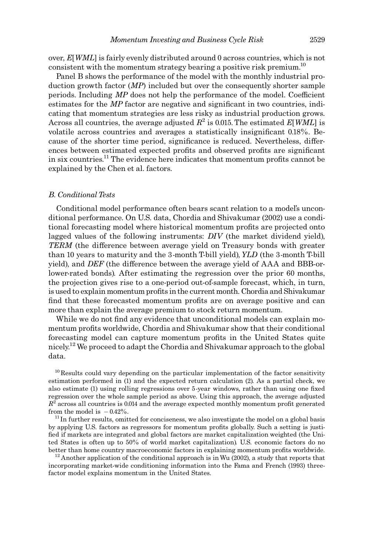over,  $E[WML]$  is fairly evenly distributed around 0 across countries, which is not consistent with the momentum strategy bearing a positive risk premium.<sup>10</sup>

Panel B shows the performance of the model with the monthly industrial production growth factor  $(MP)$  included but over the consequently shorter sample periods. Including  $MP$  does not help the performance of the model. Coefficient estimates for the  $MP$  factor are negative and significant in two countries, indicating that momentum strategies are less risky as industrial production grows. Across all countries, the average adjusted  $R^2$  is 0.015. The estimated E[WML] is volatile across countries and averages a statistically insignificant 0.18%. Because of the shorter time period, significance is reduced. Nevertheless, differences between estimated expected profits and observed profits are significant in six countries.<sup>11</sup> The evidence here indicates that momentum profits cannot be explained by the Chen et al. factors.

## B. Conditional Tests

Conditional model performance often bears scant relation to a model's unconditional performance. On U.S. data, Chordia and Shivakumar (2002) use a conditional forecasting model where historical momentum profits are projected onto lagged values of the following instruments:  $DIV$  (the market dividend yield), TERM (the difference between average yield on Treasury bonds with greater than 10 years to maturity and the 3-month T-bill yield), YLD (the 3-month T-bill yield), and  $DEF$  (the difference between the average yield of  $AAA$  and BBB-orlower-rated bonds). After estimating the regression over the prior 60 months, the projection gives rise to a one-period out-of-sample forecast, which, in turn, is used to explain momentum pro¢ts in the current month. Chordia and Shivakumar find that these forecasted momentum profits are on average positive and can more than explain the average premium to stock return momentum.

While we do not find any evidence that unconditional models can explain momentum profits worldwide, Chordia and Shivakumar show that their conditional forecasting model can capture momentum profits in the United States quite nicely.<sup>12</sup> We proceed to adapt the Chordia and Shivakumar approach to the global data.

 $10$  Results could vary depending on the particular implementation of the factor sensitivity estimation performed in (1) and the expected return calculation (2). As a partial check, we also estimate (1) using rolling regressions over 5-year windows, rather than using one fixed regression over the whole sample period as above. Using this approach, the average adjusted  $R<sup>2</sup>$  across all countries is 0.014 and the average expected monthly momentum profit generated from the model is  $-0.42\%$ .

 $11$  In further results, omitted for conciseness, we also investigate the model on a global basis by applying U.S. factors as regressors for momentum profits globally. Such a setting is justi-¢ed if markets are integrated and global factors are market capitalization weighted (the United States is often up to 50% of world market capitalization). U.S. economic factors do no better than home country macroeconomic factors in explaining momentum profits worldwide. <sup>12</sup> Another application of the conditional approach is in Wu (2002), a study that reports that

incorporating market-wide conditioning information into the Fama and French (1993) threefactor model explains momentum in the United States.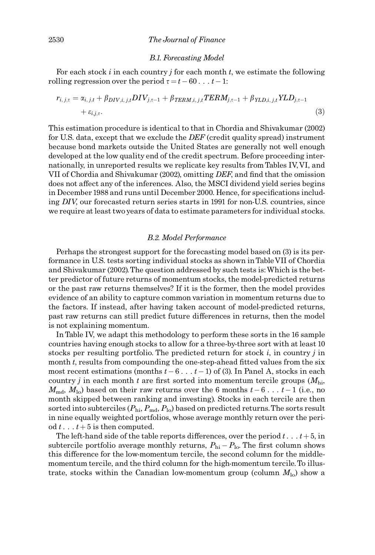#### B.1. Forecasting Model

For each stock  $i$  in each country  $j$  for each month  $t$ , we estimate the following rolling regression over the period  $\tau = t - 60 \ldots t - 1$ :

$$
r_{i,j,\tau} = \alpha_{i,j,t} + \beta_{DIV,i,j,t} DIV_{j,\tau-1} + \beta_{TERM,i,j,t} TERM_{j,\tau-1} + \beta_{YLD,i,j,t} YLD_{j,\tau-1} + \varepsilon_{i,j,\tau}.
$$
\n(3)

This estimation procedure is identical to that in Chordia and Shivakumar (2002) for U.S. data, except that we exclude the  $DEF$  (credit quality spread) instrument because bond markets outside the United States are generally not well enough developed at the low quality end of the credit spectrum. Before proceeding internationally, in unreported results we replicate key results from Tables IV,VI, and VII of Chordia and Shivakumar (2002), omitting DEF, and find that the omission does not affect any of the inferences. Also, the MSCI dividend yield series begins in December 1988 and runs until December 2000. Hence, for specifications including DIV, our forecasted return series starts in 1991 for non-U.S. countries, since we require at least two years of data to estimate parameters for individual stocks.

#### B.2. Model Performance

Perhaps the strongest support for the forecasting model based on (3) is its performance in U.S. tests sorting individual stocks as shown in TableVII of Chordia and Shivakumar (2002).The question addressed by such tests is:Which is the better predictor of future returns of momentum stocks, the model-predicted returns or the past raw returns themselves? If it is the former, then the model provides evidence of an ability to capture common variation in momentum returns due to the factors. If instead, after having taken account of model-predicted returns, past raw returns can still predict future differences in returns, then the model is not explaining momentum.

In Table IV, we adapt this methodology to perform these sorts in the 16 sample countries having enough stocks to allow for a three-by-three sort with at least 10 stocks per resulting portfolio. The predicted return for stock  $i$ , in country  $j$  in month  $t$ , results from compounding the one-step-ahead fitted values from the six most recent estimations (months  $t-6...t-1$ ) of (3). In Panel A, stocks in each country *j* in each month *t* are first sorted into momentum tercile groups  $(M_{hi}$ ,  $M_{\rm md}$ ,  $M_{\rm lo}$ ) based on their raw returns over the 6 months  $t-6 \ldots t-1$  (i.e., no month skipped between ranking and investing). Stocks in each tercile are then sorted into subterciles ( $P_{\rm hi}$ ,  $P_{\rm md}$ ,  $P_{\rm lo}$ ) based on predicted returns. The sorts result in nine equally weighted portfolios, whose average monthly return over the period  $t \ldots t + 5$  is then computed.

The left-hand side of the table reports differences, over the period  $t \ldots t + 5$ , in subtercile portfolio average monthly returns,  $P_{\text{hi}} - P_{\text{lo}}$ . The first column shows this difference for the low-momentum tercile, the second column for the middlemomentum tercile, and the third column for the high-momentum tercile.To illustrate, stocks within the Canadian low-momentum group (column  $M_{10}$ ) show a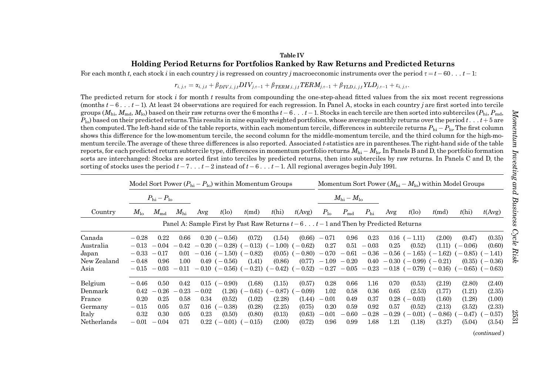## Table IVHolding Period Returns for Portfolios Ranked by Raw Returns and Predicted Returns

For each month t, each stock i in each country j is regressed on country j macroeconomic instruments over the period  $\tau = t - 60 \ldots t - 1$ :

 $r_{i,\,j,\tau}=\alpha_{i,\,j,t}+\beta_{DIV,i,\,j,t} DIV_{j,\tau-1}+\beta_{TERM,i,\,j,t} TERM_{j,\tau-1}+\beta_{YLD,i,\,j,t}YLD_{j,\tau-1}+\varepsilon_{i,\,j,\tau}.$ 

The predicted return for stock i for month  $t$  results from compounding the one-step-ahead fitted values from the six most recent regressions (months  $t-6 \ldots t-1$ ). At least 24 observations are required for each regression. In Panel A, stocks in each country j are first sorted into tercile groups ( $M_{\rm hi}, M_{\rm md}, M_{\rm lo}$ ) based on their raw returns over the 6 months  $t-6 \ldots t-1.$  Stocks in each tercile are then sorted into subterciles ( $P_{\rm hi}, P_{\rm md}$  $P_{\text{lo}}$  based on their predicted returns. This results in nine equally weighted portfolios, whose average monthly returns over the period  $t_{\text{o}}$ ...  $t_{\text{t}} + 5$  are then computed. The left-hand side of the table reports, within each momentum tercile, differences in subtercile returns  $P_{\rm hi} - P_{\rm lo}$ . The first column shows this difference for the low-momentum tercile, the second column for the middle-momentum tercile, and the third column for the high-momentum tercile. The average of these three differences is also reported. Associated  $t$ -statistics are in parentheses. The right-hand side of the table reports, for each predicted return subtercile type, differences in momentum portfolio returns  $M_{\rm hi}$  –  $M_{\rm lo}$ . In Panels B and D, the portfolio formation sorts are interchanged: Stocks are sorted first into terciles by predicted returns, then into subterciles by raw returns. In Panels C and D, the sorting of stocks uses the period  $t - 7...$   $t - 2$  instead of  $t - 6...$   $t - 1$ . All regional averages begin July 1991.

|             | Model Sort Power $(P_{hi} - P_{lo})$ within Momentum Groups |                                 |              |          |                    |                                                                                  |             |           | Momentum Sort Power $(M_{\text{hi}} - M_{\text{lo}})$ within Model Groups |                           |              |           |                       |                                       |                     |           |
|-------------|-------------------------------------------------------------|---------------------------------|--------------|----------|--------------------|----------------------------------------------------------------------------------|-------------|-----------|---------------------------------------------------------------------------|---------------------------|--------------|-----------|-----------------------|---------------------------------------|---------------------|-----------|
|             |                                                             | $P_{\text{hi}} - P_{\text{lo}}$ |              |          |                    |                                                                                  |             |           |                                                                           | $M_{\rm hi} - M_{\rm lo}$ |              |           |                       |                                       |                     |           |
| Country     | $M_{\rm lo}$                                                | $M_{\rm md}$                    | $M_{\rm hi}$ | Avg      | $t(\infty)$        | $t$ (md)                                                                         | t(h)        | t(Avg)    | $P_{10}$                                                                  | $P_{\rm md}$              | $P_{\rm hi}$ | Avg       | $t(\infty)$           | $t$ (md)                              | t(hi)               | t(Avg)    |
|             |                                                             |                                 |              |          |                    | Panel A: Sample First by Past Raw Returns $t-6t-1$ and Then by Predicted Returns |             |           |                                                                           |                           |              |           |                       |                                       |                     |           |
| Canada      | $-0.28$                                                     | 0.22                            | 0.66         |          | $0.20$ ( $-0.56$ ) | (0.72)                                                                           | (1.54)      | (0.66)    | $-0.71$                                                                   | 0.96                      | 0.23         |           | $0.16$ $(-1.11)$      | (2.00)                                | (0.47)              | (0.35)    |
| Australia   | $-0.13$                                                     | $-0.04$                         | $-0.42$      |          |                    | $-0.20$ ( $-0.28$ ) ( $-0.13$ )                                                  | $-1.00$ ) ( | $(-0.62)$ | 0.27                                                                      | 0.51                      | $-0.03$      | 0.25      | (0.52)                | (1.11)                                | $-0.06$             | (0.60)    |
| Japan       | $-0.33$                                                     | $-0.17$                         | 0.01         |          |                    | $-0.16$ ( $-1.50$ ) ( $-0.82$ )                                                  | (0.05)      | $-0.80$   | $-0.70$                                                                   | $-0.61$                   | $-0.36$      |           | $-0.56$ ( $-1.65$ )   | $-1.62$                               | $-0.85$             | $-1.41)$  |
| New Zealand | $-0.48$                                                     | 0.96                            | 1.00         |          | $0.49$ (-0.56)     | (1.41)                                                                           | (0.86)      | (0.77)    | $-1.09$                                                                   | $-0.20$                   | 0.40         |           | $-0.30$ ( $-0.99$ ) ( | $-0.21$                               | (0.35)              | $(-0.36)$ |
| Asia        | $-\,0.15$                                                   | $-0.03$                         | $-0.11$      |          |                    | $-0.10$ ( $-0.56$ ) ( $-0.21$ ) ( $-0.42$ ) ( $-0.52$ )                          |             |           | $-0.27$                                                                   |                           |              |           |                       | $-0.05 - 0.23 - 0.18$ (-0.79) (-0.16) | $(-0.65)$ $(-0.63)$ |           |
| Belgium     | $-0.46$                                                     | 0.50                            | 0.42         |          | $0.15$ $(-0.90)$   | (1.68)                                                                           | (1.15)      | (0.57)    | 0.28                                                                      | 0.66                      | 1.16         | 0.70      | (0.53)                | (2.19)                                | (2.80)              | (2.40)    |
| Denmark     | 0.42                                                        | $-0.26$                         | $-0.23$      | $-0.02$  | (1.26)             | $-0.61$                                                                          | $-0.87$     | $-0.09$   | 1.02                                                                      | 0.58                      | 0.36         | 0.65      | (2.53)                | (1.77)                                | (1.21)              | (2.35)    |
| France      | 0.20                                                        | 0.25                            | 0.58         | 0.34     | (0.52)             | (1.02)                                                                           | (2.28)      | (1.44)    | $-0.01$                                                                   | 0.49                      | 0.37         | $0.28$ (  | $-0.03$               | (1.60)                                | (1.28)              | (1.00)    |
| Germany     | $-0.15$                                                     | 0.05                            | 0.57         | $0.16$ ( | $(-0.38)$          | (0.28)                                                                           | (2.25)      | (0.75)    | 0.20                                                                      | 0.59                      | 0.92         | 0.57      | (0.52)                | (2.13)                                | (3.52)              | (2.33)    |
| Italy       | 0.32                                                        | 0.30                            | 0.05         | 0.23     | (0.50)             | (0.80)                                                                           | (0.13)      | (0.63)    | 0.01                                                                      | $-0.60$                   | $-0.28$      | $-0.29$ ( | $-0.01$               | $-0.86$                               | $-0.47$             | $-0.57)$  |
| Netherlands | $-0.01$                                                     | $-0.04$                         | 0.71         |          | $0.22$ ( $-0.01$ ) | $-0.15$                                                                          | (2.00)      | (0.72)    | 0.96                                                                      | 0.99                      | 1.68         | 1.21      | (1.18)                | (3.27)                                | (5.04)              | (3.54)    |

2531

(continued )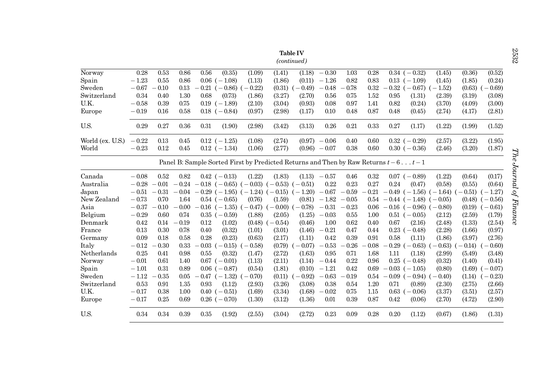|                  | Table IV    |         |         |         |                     |                                                                                       |                     |           |                 |         |         |      |                                 |                                 |          |         |
|------------------|-------------|---------|---------|---------|---------------------|---------------------------------------------------------------------------------------|---------------------|-----------|-----------------|---------|---------|------|---------------------------------|---------------------------------|----------|---------|
|                  | (continued) |         |         |         |                     |                                                                                       |                     |           |                 |         |         |      |                                 |                                 |          |         |
| Norway           | 0.28        | 0.53    | 0.86    | 0.56    | (0.35)              | (1.09)                                                                                | (1.41)              | (1.18)    | $-0.30$         | 1.03    | 0.28    |      | $0.34$ $(-0.32)$                | (1.45)                          | (0.36)   | (0.52)  |
| Spain            | $-1.23$     | 0.55    | 0.86    |         | $0.06$ ( $-1.08$ )  | (1.13)                                                                                | (1.86)              | (0.11)    | $-1.26$         | 0.82    | 0.83    |      | $0.13$ $(-1.09)$                | (1.45)                          | (1.85)   | (0.24)  |
| Sweden           | $-0.67$     | 0.10    | 0.13    |         | $-0.21$ ( $-0.86$ ) | $(-0.22)$                                                                             | (0.31)              | $(-0.49)$ | $-0.48$         | 0.78    | 0.32    |      | $0.32$ (-0.67) (-1.52)          |                                 | (0.63)   | $-0.69$ |
| Switzerland      | 0.34        | 0.40    | 1.30    | 0.68    | (0.73)              | (1.86)                                                                                | (3.27)              | (2.70)    | 0.56            | 0.75    | 1.52    | 0.95 | (1.31)                          | (2.39)                          | (3.19)   | (3.08)  |
| U.K.             | $-0.58$     | 0.39    | 0.75    |         | $0.19$ $(-1.89)$    | (2.10)                                                                                | (3.04)              | (0.93)    | 0.08            | 0.97    | 1.41    | 0.82 | (0.24)                          | (3.70)                          | (4.09)   | (3.00)  |
| Europe           | $-0.19$     | 0.16    | 0.58    |         | $0.18$ $(-0.84)$    | (0.97)                                                                                | (2.98)              | (1.17)    | 0.10            | 0.48    | 0.87    | 0.48 | (0.45)                          | (2.74)                          | (4.17)   | (2.81)  |
| U.S.             | 0.29        | 0.27    | 0.36    | 0.31    | (1.90)              | (2.98)                                                                                | (3.42)              | (3.13)    | 0.26            | 0.21    | 0.33    | 0.27 | (1.17)                          | (1.22)                          | (1.99)   | (1.52)  |
| World (ex. U.S.) | $-0.22$     | 0.13    | 0.45    |         | $0.12$ ( $-1.25$ )  | (1.08)                                                                                | (2.74)              | (0.97)    | $-0.06$         | 0.40    | 0.60    |      | $0.32(-0.29)$                   | (2.57)                          | (3.22)   | (1.95)  |
| World            | $-0.23$     | 0.12    | 0.45    |         | $0.12$ (-1.34)      | (1.06)                                                                                | (2.77)              |           | $(0.96) - 0.07$ | 0.38    | 0.60    |      | $0.30\;(-0.36)$                 | (2.46)                          | (3.20)   | (1.87)  |
|                  |             |         |         |         |                     | Panel B: Sample Sorted First by Predicted Returns and Then by Raw Returns $t-6$ $t-1$ |                     |           |                 |         |         |      |                                 |                                 |          |         |
| Canada           | $-0.08$     | 0.52    | 0.82    |         | $0.42$ (-0.13)      | (1.22)                                                                                | (1.83)              | (1.13)    | $-0.57$         | 0.46    | 0.32    |      | $0.07$ (-0.89)                  | (1.22)                          | (0.64)   | (0.17)  |
| Australia        | $-0.28$     | $-0.01$ | $-0.24$ |         | $-0.18$ ( $-0.65$ ) | $(-0.03)$                                                                             | $(-0.53)$           | $(-0.51)$ | 0.22            | 0.23    | 0.27    | 0.24 | (0.47)                          | (0.58)                          | (0.55)   | (0.64)  |
| Japan            | $-0.51$     | $-0.31$ | $-0.04$ |         |                     | $-0.29$ ( $-1.95$ ) ( $-1.24$ ) ( $-0.15$ )                                           |                     | $(-1.20)$ | $-0.67$         | $-0.59$ | $-0.21$ |      |                                 | $-0.49$ ( $-1.56$ ) ( $-1.64$ ) | $-0.51$  | $-1.27$ |
| New Zealand      | $-0.73$     | 0.70    | 1.64    |         | $0.54$ ( $-0.65$ )  | (0.76)                                                                                | (1.59)              | (0.81)    | $-1.82$         | $-0.05$ | 0.54    |      | $-0.44$ ( $-1.48$ ) ( $-0.05$ ) |                                 | (0.48)   | $-0.56$ |
| Asia             | $-0.37$     | $-0.10$ | $-0.00$ |         |                     | $-0.16$ ( $-1.35$ ) ( $-0.47$ )                                                       | $(-0.00)$ $(-0.78)$ |           | $-0.31$         | $-0.23$ | 0.06    |      | $-0.16$ ( $-0.96$ ) ( $-0.80$ ) |                                 | (0.19)   | $-0.61$ |
| Belgium          | $-0.29$     | 0.60    | 0.74    |         | $0.35$ $(-0.59)$    | (1.88)                                                                                | (2.05)              | (1.25)    | $-0.03$         | 0.55    | 1.00    |      | $0.51$ (-0.05)                  | (2.12)                          | (2.59)   | (1.79)  |
| Denmark          | 0.42        | 0.14    | $-0.19$ | 0.12    | (1.02)              | (0.48)                                                                                | $(-0.54)$           | (0.46)    | 1.00            | 0.62    | 0.40    | 0.67 | (2.16)                          | (2.48)                          | (1.33)   | (2.54)  |
| France           | 0.13        | 0.30    | 0.78    | 0.40    | (0.32)              | (1.01)                                                                                | (3.01)              | (1.46)    | $-0.21$         | 0.47    | 0.44    |      | $0.23$ ( $-0.48$ )              | (2.28)                          | (1.66)   | (0.97)  |
| Germany          | 0.09        | 0.18    | 0.58    | 0.28    | (0.23)              | (0.63)                                                                                | (2.17)              | (1.11)    | 0.42            | 0.39    | 0.91    | 0.58 | (1.11)                          | (1.86)                          | (3.97)   | (2.76)  |
| Italy            | $-0.12$     | 0.30    | 0.33    | $-0.03$ | $(-0.15)$           | $-0.58$                                                                               | (0.79)              | $-0.07$   | $-0.53$         | $-0.26$ | 0.08    |      | $-0.29$ ( $-0.63$ )             | $(-0.63)$                       | $-0.14)$ | $-0.60$ |
| Netherlands      | 0.25        | 0.41    | 0.98    | 0.55    | (0.32)              | (1.47)                                                                                | (2.72)              | (1.63)    | 0.95            | 0.71    | 1.68    | 1.11 | (1.18)                          | (2.99)                          | (5.49)   | (3.48)  |
| Norway           | $-0.01$     | 0.61    | 1.40    |         | $0.67$ $(-0.01)$    | (1.13)                                                                                | (2.11)              | (1.14)    | $-0.44$         | 0.22    | 0.96    |      | $0.25(-0.48)$                   | (0.32)                          | (1.40)   | (0.41)  |
| Spain            | $-1.01$     | 0.31    | 0.89    |         | $0.06$ ( $-0.87$ )  | (0.54)                                                                                | (1.81)              | (0.10)    | $-1.21$         | 0.42    | 0.69    |      | $-0.03$ ( $-1.05$ )             | (0.80)                          | (1.69)   | $-0.07$ |
| Sweden           | $-1.12$     | 0.35    | 0.05    |         | $-0.47$ $(-1.32)$   | $-0.70$                                                                               | (0.11)              | $-0.92$   | $-0.63$         | 0.19    | 0.54    |      | $-0.09$ ( $-0.94$ )             | $-0.40$                         | (1.14)   | $-0.23$ |
| Switzerland      | 0.53        | 0.91    | 1.35    | 0.93    | (1.12)              | (2.93)                                                                                | (3.26)              | (3.08)    | 0.38            | 0.54    | 1.20    | 0.71 | (0.89)                          | (2.30)                          | (2.75)   | (2.66)  |
| U.K.             | $-0.17$     | 0.38    | 1.00    |         | $0.40$ ( $-0.51$ )  | (1.69)                                                                                | (3.34)              | (1.68)    | $-0.02$         | 0.75    | 1.15    |      | $0.63$ ( $-0.06$ )              | (3.37)                          | (3.51)   | (2.57)  |
| Europe           | $-0.17$     | 0.25    | 0.69    |         | $0.26$ ( $-0.70$ )  | (1.30)                                                                                | (3.12)              | (1.36)    | 0.01            | 0.39    | 0.87    | 0.42 | (0.06)                          | (2.70)                          | (4.72)   | (2.90)  |
| U.S.             | 0.34        | 0.34    | 0.39    | 0.35    | (1.92)              | (2.55)                                                                                | (3.04)              | (2.72)    | 0.23            | 0.09    | 0.28    | 0.20 | (1.12)                          | (0.67)                          | (1.86)   | (1.31)  |

 $2532$   $The$  Journal of Finance The Journal of Finance

2532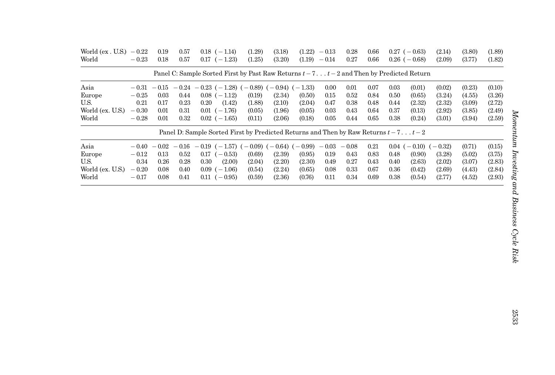| World (ex. U.S.)<br>World | $-0.22$<br>$-0.23$ | 0.19<br>0.18 | 0.57<br>0.57 | $0.18$ (-1.14)<br>0.17<br>$(-1.23)$                                                           | (1.29)<br>(1.25) | (3.18)<br>(3.20) | (1.22)<br>(1.19) | $-0.13$<br>$-0.14$ | 0.28<br>0.27 | 0.66<br>0.66 |          | $0.27$ ( $-0.63$ )<br>$0.26$ ( $-0.68$ ) | (2.14)<br>(2.09) | (3.80)<br>(3.77) | (1.89)<br>(1.82) |
|---------------------------|--------------------|--------------|--------------|-----------------------------------------------------------------------------------------------|------------------|------------------|------------------|--------------------|--------------|--------------|----------|------------------------------------------|------------------|------------------|------------------|
|                           |                    |              |              | Panel C: Sample Sorted First by Past Raw Returns $t - 7$ $t - 2$ and Then by Predicted Return |                  |                  |                  |                    |              |              |          |                                          |                  |                  |                  |
| Asia                      | $-0.31$            | $-0.15$      | $-0.24$      | $-0.23$ ( $-1.28$ ) ( $-0.89$ ) ( $-0.94$ ) ( $-1.33$ )                                       |                  |                  |                  | 0.00               | 0.01         | 0.07         | 0.03     | (0.01)                                   | (0.02)           | (0.23)           | (0.10)           |
| Europe                    | $-0.25$            | 0.03         | 0.44         | $0.08$ ( $-1.12$ )                                                                            | (0.19)           | (2.34)           | (0.50)           | 0.15               | 0.52         | 0.84         | 0.50     | (0.65)                                   | (3.24)           | (4.55)           | (3.26)           |
| U.S.                      | 0.21               | 0.17         | 0.23         | 0.20<br>(1.42)                                                                                | (1.88)           | (2.10)           | (2.04)           | 0.47               | 0.38         | 0.48         | 0.44     | (2.32)                                   | (2.32)           | (3.09)           | (2.72)           |
| World (ex. U.S.)          | $-0.30$            | 0.01         | 0.31         | $0.01$ $(-1.76)$                                                                              | (0.05)           | (1.96)           | (0.05)           | 0.03               | 0.43         | 0.64         | 0.37     | (0.13)                                   | (2.92)           | (3.85)           | (2.49)           |
| World                     | $-0.28$            | 0.01         | 0.32         | $0.02$ (-1.65)                                                                                | (0.11)           | (2.06)           | (0.18)           | 0.05               | 0.44         | 0.65         | 0.38     | (0.24)                                   | (3.01)           | (3.94)           | (2.59)           |
|                           |                    |              |              | Panel D: Sample Sorted First by Predicted Returns and Then by Raw Returns $t - 7t - 2$        |                  |                  |                  |                    |              |              |          |                                          |                  |                  |                  |
| Asia                      | $-0.40$            | $-0.02$      | $-0.16$      | $(-1.57)$ (<br>$-0.19$                                                                        | $-0.09$ ) (      | $-0.64$ ) (      | $-0.99$          | $-0.03$            | $-0.08$      | 0.21         | $0.04$ ( | $-0.10$ (                                | $-0.32$          | (0.71)           | (0.15)           |
| Europe                    | $-0.12$            | 0.13         | 0.52         | $\gamma - 0.53$<br>0.17                                                                       | (0.69)           | (2.39)           | (0.95)           | 0.19               | 0.43         | 0.83         | 0.48     | (0.90)                                   | (3.28)           | (5.02)           | (3.75)           |
| U.S.                      | 0.34               | 0.26         | 0.28         | (2.00)<br>0.30                                                                                | (2.04)           | (2.20)           | (2.30)           | 0.49               | 0.27         | 0.43         | 0.40     | (2.63)                                   | (2.02)           | (3.07)           | (2.83)           |
| World (ex. U.S.)          | $-0.20$            | 0.08         | 0.40         | 0.09<br>$(-1.06)$                                                                             | (0.54)           | (2.24)           | (0.65)           | 0.08               | 0.33         | 0.67         | 0.36     | (0.42)                                   | (2.69)           | (4.43)           | (2.84)           |
| World                     | $-0.17$            | 0.08         | 0.41         | $(-0.95)$<br>0.11                                                                             | (0.59)           | (2.36)           | (0.76)           | 0.11               | 0.34         | 0.69         | 0.38     | (0.54)                                   | (2.77)           | (4.52)           | (2.93)           |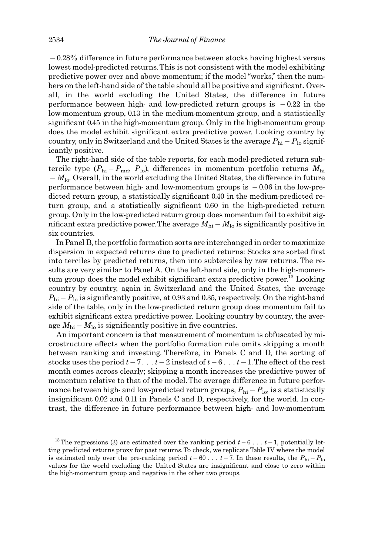$-0.28\%$  difference in future performance between stocks having highest versus lowest model-predicted returns.This is not consistent with the model exhibiting predictive power over and above momentum; if the model ''works,'' then the numbers on the left-hand side of the table should all be positive and significant. Overall, in the world excluding the United States, the difference in future performance between high- and low-predicted return groups is  $-0.22$  in the low-momentum group, 0.13 in the medium-momentum group, and a statistically significant 0.45 in the high-momentum group. Only in the high-momentum group does the model exhibit significant extra predictive power. Looking country by country, only in Switzerland and the United States is the average  $P_{\rm hi} - P_{\rm lo}$  significantly positive.

The right-hand side of the table reports, for each model-predicted return subtercile type ( $P_{\rm hi} - P_{\rm md}$ ,  $P_{\rm lo}$ ), differences in momentum portfolio returns  $M_{\rm hi}$  $-M_{\text{lo}}$ . Overall, in the world excluding the United States, the difference in future performance between high- and low-momentum groups is  $-0.06$  in the low-predicted return group, a statistically significant 0.40 in the medium-predicted return group, and a statistically significant 0.60 in the high-predicted return group. Only in the low-predicted return group does momentum fail to exhibit significant extra predictive power. The average  $M_{\rm hi}$  –  $M_{\rm lo}$  is significantly positive in six countries.

In Panel B, the portfolio formation sorts are interchanged in order to maximize dispersion in expected returns due to predicted returns: Stocks are sorted first into terciles by predicted returns, then into subterciles by raw returns. The results are very similar to Panel A. On the left-hand side, only in the high-momentum group does the model exhibit significant extra predictive power.<sup>13</sup> Looking country by country, again in Switzerland and the United States, the average  $P_{\rm hi}$  –  $P_{\rm lo}$  is significantly positive, at 0.93 and 0.35, respectively. On the right-hand side of the table, only in the low-predicted return group does momentum fail to exhibit significant extra predictive power. Looking country by country, the average  $M_{\rm hi}$  –  $M_{\rm lo}$  is significantly positive in five countries.

An important concern is that measurement of momentum is obfuscated by microstructure effects when the portfolio formation rule omits skipping a month between ranking and investing. Therefore, in Panels C and D, the sorting of stocks uses the period  $t - 7 \ldots t - 2$  instead of  $t - 6 \ldots t - 1$ . The effect of the rest month comes across clearly; skipping a month increases the predictive power of momentum relative to that of the model. The average difference in future performance between high- and low-predicted return groups,  $P_{\rm hi}$  –  $P_{\rm lo}$  is a statistically insignificant  $0.02$  and  $0.11$  in Panels C and D, respectively, for the world. In contrast, the difference in future performance between high- and low-momentum

<sup>&</sup>lt;sup>13</sup> The regressions (3) are estimated over the ranking period  $t-6...$   $t-1$ , potentially letting predicted returns proxy for past returns. To check, we replicate Table IV where the model is estimated only over the pre-ranking period  $t-60$  ...  $t-7$ . In these results, the  $P_{\text{hi}}-P_{\text{lo}}$ values for the world excluding the United States are insignificant and close to zero within the high-momentum group and negative in the other two groups.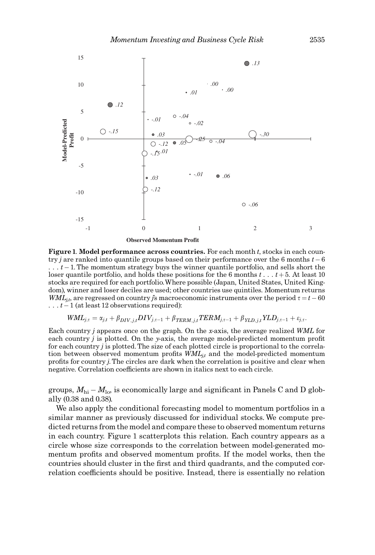

**Observed Momentum Profit**

Figure 1. Model performance across countries. For each month t, stocks in each country j are ranked into quantile groups based on their performance over the 6 months  $t-6$  $\dots$  t-1. The momentum strategy buys the winner quantile portfolio, and sells short the loser quantile portfolio, and holds these positions for the 6 months  $t \ldots t+5$ . At least 10 stocks are required for each portfolio.Where possible (Japan, United States, United Kingdom), winner and loser deciles are used; other countries use quintiles. Momentum returns  $WML_{jk}$ , are regressed on country *j*'s macroeconomic instruments over the period  $\tau = t - 60$  $\dots$   $t-1$  (at least 12 observations required):

$$
WML_{j,\tau} = \alpha_{j,t} + \beta_{DIV,j,t} DIV_{j,\tau-1} + \beta_{TERM,j,t} TERM_{j,\tau-1} + \beta_{YLD,j,t} YLD_{j,\tau-1} + \varepsilon_{j,\tau}.
$$

Each country *j* appears once on the graph. On the x-axis, the average realized WML for each country  $j$  is plotted. On the y-axis, the average model-predicted momentum profit for each country  $j$  is plotted. The size of each plotted circle is proportional to the correlation between observed momentum profits  $WML_{i,t}$  and the model-predicted momentum profits for country j. The circles are dark when the correlation is positive and clear when negative. Correlation coefficients are shown in italics next to each circle.

groups,  $M_{\rm hi}$  –  $M_{\rm lo}$ , is economically large and significant in Panels C and D globally (0.38 and 0.38).

We also apply the conditional forecasting model to momentum portfolios in a similar manner as previously discussed for individual stocks. We compute predicted returns from the model and compare these to observed momentum returns in each country. Figure 1 scatterplots this relation. Each country appears as a circle whose size corresponds to the correlation between model-generated momentum profits and observed momentum profits. If the model works, then the countries should cluster in the first and third quadrants, and the computed correlation coefficients should be positive. Instead, there is essentially no relation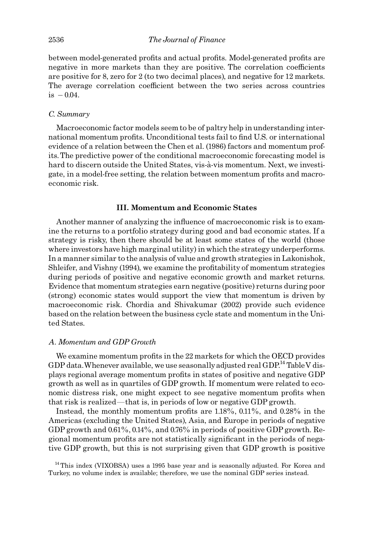between model-generated profits and actual profits. Model-generated profits are negative in more markets than they are positive. The correlation coefficients are positive for 8, zero for 2 (to two decimal places), and negative for 12 markets. The average correlation coefficient between the two series across countries  $is -0.04.$ 

## C. Summary

Macroeconomic factor models seem to be of paltry help in understanding international momentum profits. Unconditional tests fail to find U.S. or international evidence of a relation between the Chen et al. (1986) factors and momentum profits.The predictive power of the conditional macroeconomic forecasting model is hard to discern outside the United States, vis-à-vis momentum. Next, we investigate, in a model-free setting, the relation between momentum profits and macroeconomic risk.

## III. Momentum and Economic States

Another manner of analyzing the influence of macroeconomic risk is to examine the returns to a portfolio strategy during good and bad economic states. If a strategy is risky, then there should be at least some states of the world (those where investors have high marginal utility) in which the strategy underperforms. In a manner similar to the analysis of value and growth strategies in Lakonishok, Shleifer, and Vishny (1994), we examine the profitability of momentum strategies during periods of positive and negative economic growth and market returns. Evidence that momentum strategies earn negative (positive) returns during poor (strong) economic states would support the view that momentum is driven by macroeconomic risk. Chordia and Shivakumar (2002) provide such evidence based on the relation between the business cycle state and momentum in the United States.

## A. Momentum and GDP Growth

We examine momentum profits in the 22 markets for which the OECD provides GDP data. Whenever available, we use seasonally adjusted real GDP.<sup>14</sup> Table V displays regional average momentum profits in states of positive and negative GDP growth as well as in quartiles of GDP growth. If momentum were related to economic distress risk, one might expect to see negative momentum profits when that risk is realized—that is, in periods of low or negative GDP growth.

Instead, the monthly momentum profits are  $1.18\%$ ,  $0.11\%$ , and  $0.28\%$  in the Americas (excluding the United States), Asia, and Europe in periods of negative GDP growth and 0.61%, 0.14%, and 0.76% in periods of positive GDP growth. Regional momentum profits are not statistically significant in the periods of negative GDP growth, but this is not surprising given that GDP growth is positive

<sup>14</sup>This index (VIXOBSA) uses a 1995 base year and is seasonally adjusted. For Korea and Turkey, no volume index is available; therefore, we use the nominal GDP series instead.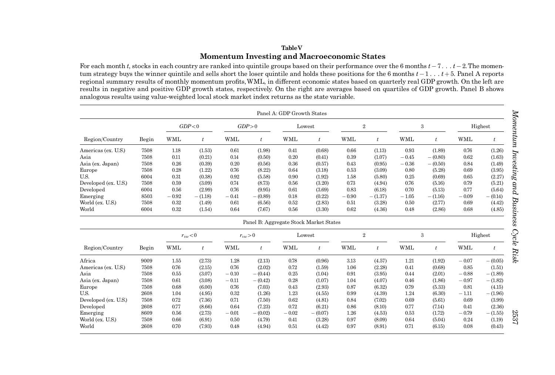# TableVMomentum Investing and Macroeconomic States

For each month t, stocks in each country are ranked into quintile groups based on their performance over the 6 months  $t - 7...$   $t - 2$ . The momentum strategy buys the winner quintile and sells short the loser quintile and holds these positions for the 6 months  $t-1 \ldots t+5$ . Panel A reports regional summary results of monthly momentum profits, WML, in different economic states based on quarterly real GDP growth. On the left are results in negative and positive GDP growth states, respectively. On the right are averages based on quartiles of GDP growth. Panel B shows analogous results using value-weighted local stock market index returns as the state variable.

|                      |       |            |                  |            |                                        | Panel A: GDP Growth States |                |                |                  |            |                  |            |                  |
|----------------------|-------|------------|------------------|------------|----------------------------------------|----------------------------|----------------|----------------|------------------|------------|------------------|------------|------------------|
|                      |       |            | GDP<0            |            | GDP > 0                                |                            | Lowest         | $\overline{2}$ |                  |            | $\boldsymbol{3}$ |            | Highest          |
| Region/Country       | Begin | <b>WML</b> | t                | <b>WML</b> | $\boldsymbol{t}$                       | <b>WML</b>                 | $\mathfrak{t}$ | <b>WML</b>     | $\mathfrak{t}$   | <b>WML</b> | t                | <b>WML</b> | $\boldsymbol{t}$ |
| Americas (ex. U.S.)  | 7508  | 1.18       | (1.53)           | 0.61       | (1.98)                                 | 0.41                       | (0.68)         | 0.66           | (1.13)           | 0.93       | (1.89)           | 0.76       | (1.26)           |
| Asia                 | 7508  | 0.11       | (0.21)           | 0.14       | (0.50)                                 | 0.20                       | (0.41)         | 0.39           | (1.07)           | $-0.45$    | $- (0.80)$       | 0.62       | (1.63)           |
| Asia (ex. Japan)     | 7508  | 0.26       | (0.39)           | 0.20       | (0.56)                                 | 0.36                       | (0.57)         | 0.43           | (0.95)           | $-0.36$    | $- (0.50)$       | 0.84       | (1.49)           |
| Europe               | 7508  | 0.28       | (1.22)           | 0.76       | (8.22)                                 | 0.64                       | (3.18)         | 0.53           | (3.09)           | 0.80       | (5.28)           | 0.69       | (3.95)           |
| U.S.                 | 6004  | 0.31       | (0.38)           | 0.92       | (5.58)                                 | 0.90                       | (1.92)         | 1.58           | (5.80)           | 0.25       | (0.69)           | 0.65       | (2.27)           |
| Developed (ex. U.S.) | 7508  | 0.59       | (3.09)           | 0.74       | (8.73)                                 | 0.56                       | (3.20)         | 0.73           | (4.94)           | 0.76       | (5.16)           | 0.79       | (5.21)           |
| Developed            | 6004  | 0.56       | (2.99)           | 0.76       | (9.95)                                 | 0.61                       | (3.69)         | 0.83           | (6.18)           | 0.70       | (5.13)           | 0.77       | (5.64)           |
| Emerging             | 8503  | $-0.92$    | $-(1.18)$        | $-0.41$    | $-(0.89)$                              | 0.18                       | (0.22)         | $-0.90$        | $-(1.37)$        | $-1.05$    | $- (1.16)$       | $-0.09$    | $- (0.14)$       |
| World (ex. U.S.)     | 7508  | 0.32       | (1.49)           | 0.61       | (6.56)                                 | 0.52                       | (2.83)         | 0.51           | (3.28)           | 0.50       | (2.77)           | 0.69       | (4.42)           |
| World                | 6004  | 0.32       | (1.54)           | 0.64       | (7.67)                                 | 0.56                       | (3.30)         | 0.62           | (4.36)           | 0.48       | (2.86)           | 0.68       | (4.85)           |
|                      |       |            |                  |            | Panel B: Aggregate Stock Market States |                            |                |                |                  |            |                  |            |                  |
|                      |       |            | $r_{vw}$ < 0     |            | $r_{vw} > 0$                           |                            | Lowest         | $\overline{2}$ |                  | 3          |                  |            | Highest          |
| Region/Country       | Begin | <b>WML</b> | $\boldsymbol{t}$ | <b>WML</b> | $\boldsymbol{t}$                       | <b>WML</b>                 | t              | <b>WML</b>     | $\boldsymbol{t}$ | <b>WML</b> | t                | <b>WML</b> | t                |
| Africa               | 9009  | 1.55       | (2.73)           | 1.28       | (2.13)                                 | 0.78                       | (0.96)         | 3.13           | (4.57)           | 1.21       | (1.92)           | $-0.07$    | $-(0.05)$        |
| Americas (ex. U.S.)  | 7508  | 0.76       | (2.15)           | 0.76       | (2.02)                                 | 0.72                       | (1.59)         | 1.06           | (2.28)           | 0.41       | (0.68)           | 0.85       | (1.51)           |
| Asia                 | 7508  | 0.55       | (3.07)           | $-0.10$    | $-(0.44)$                              | 0.25                       | (1.04)         | 0.91           | (3.95)           | 0.44       | (2.01)           | $-0.88$    | $-(1.89)$        |
| Asia (ex. Japan)     | 7508  | 0.61       | (3.08)           | $-0.11$    | $-(0.42)$                              | 0.28                       | (1.07)         | 1.04           | (4.07)           | 0.46       | (1.86)           | $-0.97$    | $-(1.82)$        |
| Europe               | 7508  | 0.68       | (6.00)           | 0.76       | (7.03)                                 | 0.43                       | (2.93)         | 0.87           | (6.32)           | 0.79       | (5.33)           | 0.81       | (4.15)           |
| U.S.                 | 2608  | 1.04       | (4.95)           | 0.32       | (1.26)                                 | 1.23                       | (4.55)         | 0.99           | (4.39)           | 1.24       | (6.30)           | $-1.11$    | $-(1.96)$        |
| Developed (ex. U.S.) | 7508  | 0.72       | (7.36)           | 0.71       | (7.50)                                 | 0.62                       | (4.81)         | 0.84           | (7.02)           | 0.69       | (5.61)           | 0.69       | (3.99)           |
| Developed            | 2608  | 0.77       | (8.66)           | 0.64       | (7.23)                                 | 0.72                       | (6.21)         | 0.86           | (8.10)           | 0.77       | (7.14)           | 0.41       | (2.36)           |
| Emerging             | 8609  | 0.56       | (2.73)           | $-0.01$    | $-(0.02)$                              | $-0.02$                    | $-(0.07)$      | 1.26           | (4.53)           | 0.53       | (1.72)           | $-0.79$    | $-(1.55)$        |
| World (ex. U.S.)     | 7508  | 0.66       | (6.91)           | 0.50       | (4.79)                                 | 0.41                       | (3.28)         | 0.97           | (8.09)           | 0.64       | (5.04)           | 0.24       | (1.19)           |
| World                | 2608  | 0.70       | (7.93)           | 0.48       | (4.94)                                 | 0.51                       | (4.42)         | 0.97           | (8.91)           | 0.71       | (6.15)           | 0.08       | (0.43)           |

Momentum Investing and Business Cycle Risk Momentum Investing and Business Cycle Risk

2537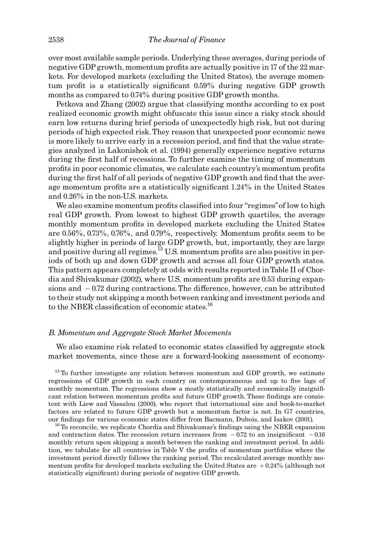over most available sample periods. Underlying these averages, during periods of negative GDP growth, momentum profits are actually positive in 17 of the 22 markets. For developed markets (excluding the United States), the average momentum profit is a statistically significant 0.59% during negative GDP growth months as compared to 0.74% during positive GDP growth months.

Petkova and Zhang (2002) argue that classifying months according to ex post realized economic growth might obfuscate this issue since a risky stock should earn low returns during brief periods of unexpectedly high risk, but not during periods of high expected risk.They reason that unexpected poor economic news is more likely to arrive early in a recession period, and find that the value strategies analyzed in Lakonishok et al. (1994) generally experience negative returns during the first half of recessions. To further examine the timing of momentum profits in poor economic climates, we calculate each country's momentum profits during the first half of all periods of negative GDP growth and find that the average momentum profits are a statistically significant 1.24% in the United States and 0.26% in the non-U.S. markets.

We also examine momentum profits classified into four "regimes" of low to high real GDP growth. From lowest to highest GDP growth quartiles, the average monthly momentum profits in developed markets excluding the United States are  $0.56\%$ ,  $0.73\%$ ,  $0.76\%$ , and  $0.79\%$ , respectively. Momentum profits seem to be slightly higher in periods of large GDP growth, but, importantly, they are large and positive during all regimes.<sup>15</sup> U.S. momentum profits are also positive in periods of both up and down GDP growth and across all four GDP growth states. This pattern appears completely at odds with results reported inTable II of Chordia and Shivakumar (2002), where U.S. momentum profits are 0.53 during expansions and  $-0.72$  during contractions. The difference, however, can be attributed to their study not skipping a month between ranking and investment periods and to the NBER classification of economic states.<sup>16</sup>

#### B. Momentum and Aggregate Stock Market Movements

We also examine risk related to economic states classified by aggregate stock market movements, since these are a forward-looking assessment of economy-

 $15$ To further investigate any relation between momentum and GDP growth, we estimate regressions of GDP growth in each country on contemporaneous and up to five lags of monthly momentum. The regressions show a mostly statistically and economically insignificant relation between momentum profits and future GDP growth. These findings are consistent with Liew and Vassalou (2000), who report that international size and book-to-market factors are related to future GDP growth but a momentum factor is not. In G7 countries, our findings for various economic states differ from Bacmann, Dubois, and Isakov (2001). <sup>16</sup>To reconcile, we replicate Chordia and Shivakumar's findings using the NBER expansion

and contraction dates. The recession return increases from  $-0.72$  to an insignificant  $-0.16$ monthly return upon skipping a month between the ranking and investment period. In addition, we tabulate for all countries in Table V the profits of momentum portfolios where the investment period directly follows the ranking period. The recalculated average monthly momentum profits for developed markets excluding the United States are  $+0.24\%$  (although not statistically significant) during periods of negative GDP growth.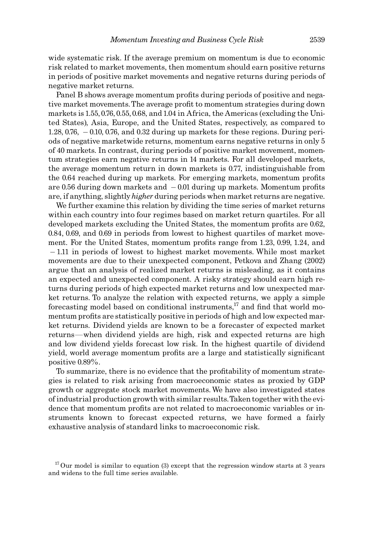wide systematic risk. If the average premium on momentum is due to economic risk related to market movements, then momentum should earn positive returns in periods of positive market movements and negative returns during periods of negative market returns.

Panel B shows average momentum profits during periods of positive and negative market movements. The average profit to momentum strategies during down markets is 1.55, 0.76, 0.55, 0.68, and 1.04 in Africa, the Americas (excluding the United States), Asia, Europe, and the United States, respectively, as compared to  $1.28, 0.76, -0.10, 0.76,$  and  $0.32$  during up markets for these regions. During periods of negative marketwide returns, momentum earns negative returns in only 5 of 40 markets. In contrast, during periods of positive market movement, momentum strategies earn negative returns in 14 markets. For all developed markets, the average momentum return in down markets is 0.77, indistinguishable from the 0.64 reached during up markets. For emerging markets, momentum profits are 0.56 during down markets and  $-$  0.01 during up markets. Momentum profits are, if anything, slightly *higher* during periods when market returns are negative.

We further examine this relation by dividing the time series of market returns within each country into four regimes based on market return quartiles. For all developed markets excluding the United States, the momentum profits are 0.62, 0.84, 0.69, and 0.69 in periods from lowest to highest quartiles of market movement. For the United States, momentum profits range from 1.23, 0.99, 1.24, and - 1.11 in periods of lowest to highest market movements. While most market movements are due to their unexpected component, Petkova and Zhang (2002) argue that an analysis of realized market returns is misleading, as it contains an expected and unexpected component. A risky strategy should earn high returns during periods of high expected market returns and low unexpected market returns. To analyze the relation with expected returns, we apply a simple forecasting model based on conditional instruments, $17$  and find that world momentum profits are statistically positive in periods of high and low expected market returns. Dividend yields are known to be a forecaster of expected market returns—when dividend yields are high, risk and expected returns are high and low dividend yields forecast low risk. In the highest quartile of dividend yield, world average momentum profits are a large and statistically significant positive 0.89%.

To summarize, there is no evidence that the profitability of momentum strategies is related to risk arising from macroeconomic states as proxied by GDP growth or aggregate stock market movements. We have also investigated states of industrial production growth with similar results.Taken together with the evidence that momentum profits are not related to macroeconomic variables or instruments known to forecast expected returns, we have formed a fairly exhaustive analysis of standard links to macroeconomic risk.

 $17$  Our model is similar to equation (3) except that the regression window starts at 3 years and widens to the full time series available.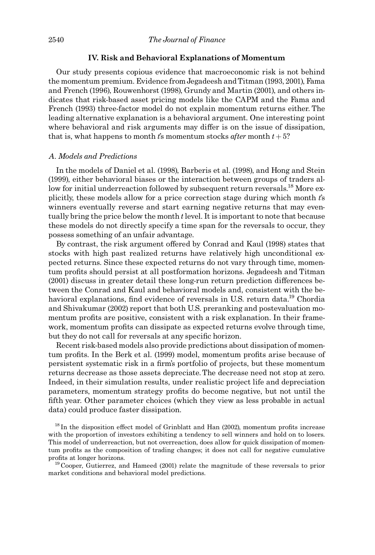## IV. Risk and Behavioral Explanations of Momentum

Our study presents copious evidence that macroeconomic risk is not behind the momentum premium. Evidence from Jegadeesh and Titman (1993, 2001), Fama and French (1996), Rouwenhorst (1998), Grundy and Martin (2001), and others indicates that risk-based asset pricing models like the CAPM and the Fama and French (1993) three-factor model do not explain momentum returns either. The leading alternative explanation is a behavioral argument. One interesting point where behavioral and risk arguments may differ is on the issue of dissipation, that is, what happens to month t's momentum stocks after month  $t + 5$ ?

# A. Models and Predictions

In the models of Daniel et al. (1998), Barberis et al. (1998), and Hong and Stein (1999), either behavioral biases or the interaction between groups of traders allow for initial underreaction followed by subsequent return reversals.<sup>18</sup> More explicitly, these models allow for a price correction stage during which month  $t$ 's winners eventually reverse and start earning negative returns that may eventually bring the price below the month  $t$  level. It is important to note that because these models do not directly specify a time span for the reversals to occur, they possess something of an unfair advantage.

By contrast, the risk argument offered by Conrad and Kaul (1998) states that stocks with high past realized returns have relatively high unconditional expected returns. Since these expected returns do not vary through time, momentum pro¢ts should persist at all postformation horizons. Jegadeesh and Titman (2001) discuss in greater detail these long-run return prediction differences between the Conrad and Kaul and behavioral models and, consistent with the behavioral explanations, find evidence of reversals in U.S. return data.<sup>19</sup> Chordia and Shivakumar (2002) report that both U.S. preranking and postevaluation momentum profits are positive, consistent with a risk explanation. In their framework, momentum profits can dissipate as expected returns evolve through time, but they do not call for reversals at any specific horizon.

Recent risk-based models also provide predictions about dissipation of momentum profits. In the Berk et al. (1999) model, momentum profits arise because of persistent systematic risk in a ¢rm's portfolio of projects, but these momentum returns decrease as those assets depreciate. The decrease need not stop at zero. Indeed, in their simulation results, under realistic project life and depreciation parameters, momentum strategy pro¢ts do become negative, but not until the ¢fth year. Other parameter choices (which they view as less probable in actual data) could produce faster dissipation.

 $^{18}$  In the disposition effect model of Grinblatt and Han (2002), momentum profits increase with the proportion of investors exhibiting a tendency to sell winners and hold on to losers. This model of underreaction, but not overreaction, does allow for quick dissipation of momentum profits as the composition of trading changes; it does not call for negative cumulative profits at longer horizons.<br><sup>19</sup> Cooper, Gutierrez, and Hameed (2001) relate the magnitude of these reversals to prior

market conditions and behavioral model predictions.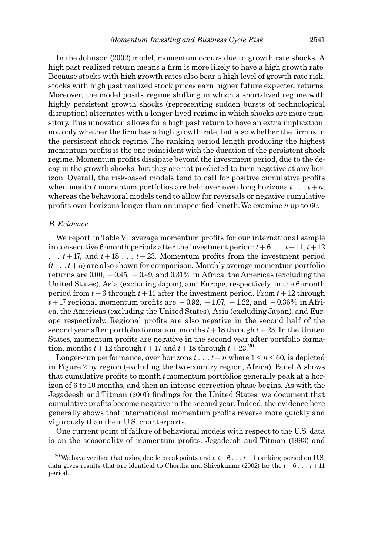In the Johnson (2002) model, momentum occurs due to growth rate shocks. A high past realized return means a firm is more likely to have a high growth rate. Because stocks with high growth rates also bear a high level of growth rate risk, stocks with high past realized stock prices earn higher future expected returns. Moreover, the model posits regime shifting in which a short-lived regime with highly persistent growth shocks (representing sudden bursts of technological disruption) alternates with a longer-lived regime in which shocks are more transitory.This innovation allows for a high past return to have an extra implication: not only whether the firm has a high growth rate, but also whether the firm is in the persistent shock regime. The ranking period length producing the highest momentum profits is the one coincident with the duration of the persistent shock regime. Momentum profits dissipate beyond the investment period, due to the decay in the growth shocks, but they are not predicted to turn negative at any horizon. Overall, the risk-based models tend to call for positive cumulative profits when month t momentum portfolios are held over even long horizons  $t \dots t + n$ , whereas the behavioral models tend to allow for reversals or negative cumulative profits over horizons longer than an unspecified length. We examine  $n$  up to 60.

## B. Evidence

We report in Table VI average momentum profits for our international sample in consecutive 6-month periods after the investment period:  $t + 6... t + 11$ ,  $t + 12$  $\ldots$  t + 17, and t + 18  $\ldots$  t + 23. Momentum profits from the investment period  $(t \dots t + 5)$  are also shown for comparison. Monthly average momentum portfolio returns are 0.00, - 0.45, - 0.49, and 0.31% in Africa, the Americas (excluding the United States), Asia (excluding Japan), and Europe, respectively, in the 6-month period from  $t + 6$  through  $t + 11$  after the investment period. From  $t + 12$  through  $t + 17$  regional momentum profits are  $-0.92$ ,  $-1.07$ ,  $-1.22$ , and  $-0.36\%$  in Africa, the Americas (excluding the United States), Asia (excluding Japan), and Europe respectively. Regional pro¢ts are also negative in the second half of the second year after portfolio formation, months  $t + 18$  through  $t + 23$ . In the United States, momentum profits are negative in the second year after portfolio formation, months  $t + 12$  through  $t + 17$  and  $t + 18$  through  $t + 23$ .<sup>20</sup>

Longer-run performance, over horizons  $t \dots t + n$  where  $1 \le n \le 60$ , is depicted in Figure 2 by region (excluding the two-country region, Africa). Panel A shows that cumulative profits to month  $t$  momentum portfolios generally peak at a horizon of 6 to 10 months, and then an intense correction phase begins. As with the Jegadeesh and Titman (2001) findings for the United States, we document that cumulative profits become negative in the second year. Indeed, the evidence here generally shows that international momentum profits reverse more quickly and vigorously than their U.S. counterparts.

One current point of failure of behavioral models with respect to the U.S. data is on the seasonality of momentum profits. Jegadeesh and Titman (1993) and

<sup>&</sup>lt;sup>20</sup> We have verified that using decile breakpoints and a  $t - 6$ ...  $t - 1$  ranking period on U.S. data gives results that are identical to Chordia and Shivakumar (2002) for the  $t + 6... t + 11$ period.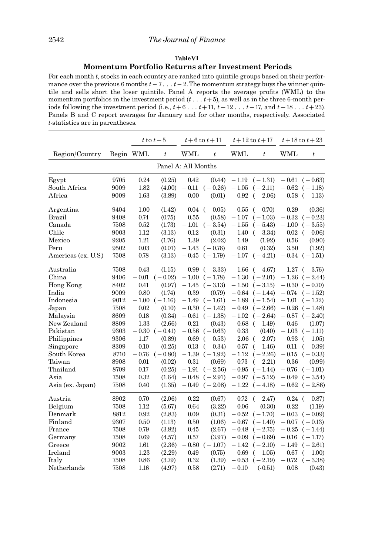## TableVI

# Momentum Portfolio Returns after Investment Periods

For each month t, stocks in each country are ranked into quintile groups based on their performance over the previous 6 months  $t - 7...t - 2$ . The momentum strategy buys the winner quintile and sells short the loser quintile. Panel A reports the average profits (WML) to the momentum portfolios in the investment period  $(t \dots t+5)$ , as well as in the three 6-month periods following the investment period (i.e.,  $t+6...$ ,  $t+11$ ,  $t+12...$ ,  $t+17$ , and  $t+18...$ ,  $t+23$ ). Panels B and C report averages for January and for other months, respectively. Associated t-statistics are in parentheses.

|                     |      |             | t to $t+5$ |                     | $t + 6$ to $t + 11$ |           | $t + 12$ to $t + 17$ | $t + 18$ to $t + 23$ |                       |
|---------------------|------|-------------|------------|---------------------|---------------------|-----------|----------------------|----------------------|-----------------------|
| Region/Country      |      | Begin WML   | $\it t$    | <b>WML</b>          | $\boldsymbol{t}$    | WML       | $\boldsymbol{t}$     | WML                  | $t\,$                 |
|                     |      |             |            | Panel A: All Months |                     |           |                      |                      |                       |
| Egypt               | 9705 | 0.24        | (0.25)     | 0.42                | (0.44)              | $-1.19$   | $(-1.31)$            |                      | $-0.61$ $(-0.63)$     |
| South Africa        | 9009 | 1.82        | (4.00)     | $-0.11$             | $(-0.26)$           | $-1.05$   | $(-2.11)$            |                      | $-0.62$ ( $-1.18$ )   |
| Africa              | 9009 | 1.63        | (3.89)     | 0.00                | (0.01)              |           | $-0.92$ ( $-2.06$ )  |                      | $-0.58$ ( $-1.13$ )   |
| Argentina           | 9404 | 1.00        | (1.42)     |                     | $-0.04$ $(-0.05)$   | $-0.55$   | $(-0.70)$            | 0.29                 | (0.36)                |
| Brazil              | 9408 | 0.74        | (0.75)     | 0.55                | (0.58)              | $-1.07$   | $(-1.03)$            | $-0.32$              | $(-0.23)$             |
| Canada              | 7508 | 0.52        | (1.73)     | $-1.01$             | $(-3.54)$           | $-1.55$   | $(-5.43)$            |                      | $-1.00$ $(-3.55)$     |
| Chile               | 9003 | 1.12        | (3.13)     | 0.12                | (0.31)              | $-1.40$   | $(-3.34)$            |                      | $-0.02$ ( $-0.06$ )   |
| Mexico              | 9205 | 1.21        | (1.76)     | 1.39                | (2.02)              | 1.49      | (1.92)               | 0.56                 | (0.90)                |
| Peru                | 9502 | 0.03        | (0.01)     | $-1.43\,$           | $(-0.76)$           | 0.61      | (0.32)               | 3.50                 | (1.92)                |
| Americas (ex. U.S.) | 7508 | 0.78        | (3.13)     | $-0.45$             | $(-1.79)$           | $-1.07$   | $(-4.21)$            |                      | $-0.34$ $(-1.51)$     |
| Australia           | 7508 | 0.43        | (1.15)     |                     | $-0.99$ $(-3.33)$   | $-1.66$   | $(-4.67)$            |                      | $-1.27$ $(-3.76)$     |
| China               | 9406 | $-0.01$     | $(-0.02)$  | $-1.00$             | $(-1.78)$           | $-1.30$   | $(-2.01)$            |                      | $-1.26$ $(-2.44)$     |
| Hong Kong           | 8402 | 0.41        | (0.97)     | $-1.45$             | $(-3.13)$           | $-1.50$   | $(-3.15)$            |                      | $-0.30$ $(-0.70)$     |
| India               | 9009 | 0.80        | (1.74)     | 0.39                | (0.79)              | $-0.64$   | $(-1.44)$            |                      | $-0.74 \quad (-1.52)$ |
| Indonesia           | 9012 | $- \, 1.00$ | $(-1.16)$  | $-1.49$             | $(-1.61)$           | $-1.89$   | $(-1.54)$            | $-1.01$              | $(-1.72)$             |
| Japan               | 7508 | 0.02        | (0.10)     | $-0.30$             | $(-1.42)$           | $-0.49$   | $(-2.66)$            |                      | $-0.26$ ( $-1.48$ )   |
| Malaysia            | 8609 | 0.18        | (0.34)     | $-0.61$             | $(-1.38)$           | $-1.02$   | $(-2.64)$            | $-0.87$              | $(-2.40)$             |
| New Zealand         | 8809 | 1.33        | (2.66)     | 0.21                | (0.43)              | $-0.68\,$ | $(-1.49)$            | 0.46                 | (1.07)                |
| Pakistan            | 9303 | $-0.30$     | $(-0.41)$  | $-0.56$             | $(-0.63)$           | 0.33      | (0.40)               | $-1.03$              | $(-1.11)$             |
| Philippines         | 9306 | 1.17        | (0.89)     | $-0.69$             | $(-0.53)$           | $-2.06$   | $(-2.07)$            | $-0.93$              | $(-1.05)$             |
| Singapore           | 8309 | 0.10        | (0.25)     | $-0.13$             | $(-0.34)$           | $-0.57$   | $(-1.46)$            | $-0.11$              | $(-0.39)$             |
| South Korea         | 8710 | $-0.76$     | $(-0.80)$  | $-1.39$             | $(-1.92)$           | $-1.12$   | $(-2.26)$            | $-0.15$              | $(-0.33)$             |
| Taiwan              | 8908 | 0.01        | (0.02)     | $0.31\,$            | (0.69)              | $-0.73$   | $(-2.21)$            | 0.36                 | (0.99)                |
| Thailand            | 8709 | 0.17        | (0.25)     | $-1.91$             | $(-2.56)$           | $-0.95$   | $(-1.44)$            | $-0.76$              | $(-1.01)$             |
| Asia                | 7508 | 0.32        | (1.64)     | $-0.48$             | $(-2.91)$           | $-0.97$   | $(-5.12)$            | $-0.49$              | $(-3.54)$             |
| Asia (ex. Japan)    | 7508 | 0.40        | (1.35)     |                     | $-0.49$ $(-2.08)$   | $-1.22$   | $(-4.18)$            |                      | $-0.62$ $(-2.86)$     |
| Austria             | 8902 | 0.70        | (2.06)     | 0.22                | (0.67)              | $-0.72$   | $(-2.47)$            |                      | $-0.24$ ( $-0.87$ )   |
| Belgium             | 7508 | 1.12        | (5.67)     | 0.64                | (3.22)              | 0.06      | (0.30)               | 0.22                 | (1.19)                |
| Denmark             | 8812 | 0.92        | (2.83)     | 0.09                | (0.31)              | $-\,0.52$ | $(-1.70)$            |                      | $-0.03$ $(-0.09)$     |
| Finland             | 9307 | 0.50        | (1.13)     | 0.50                | (1.06)              | $-0.67$   | $(-1.40)$            |                      | $-0.07$ $(-0.13)$     |
| France              | 7508 | 0.79        | (3.82)     | 0.45                | (2.67)              | $-0.48$   | $(-2.75)$            | $-0.25\,$            | $(-1.44)$             |
| Germany             | 7508 | 0.69        | (4.57)     | 0.57                | (3.97)              | $-0.09$   | $(-0.69)$            | $-0.16$              | $(-1.17)$             |
| Greece              | 9002 | 1.61        | (2.36)     | $-0.80$             | $(-1.07)$           | $-1.42$   | $(-2.10)$            | $-1.49$              | $(-2.61)$             |
| Ireland             | 9003 | 1.23        | (2.29)     | 0.49                | (0.75)              | $-0.69$   | $(-1.05)$            | $-0.67$              | $(-1.00)$             |
| Italy               | 7508 | 0.86        | (3.79)     | 0.32                | (1.39)              | $\!0.53$  | $(-2.19)$            | $-0.72$              | $(-3.38)$             |
| Netherlands         | 7508 | 1.16        | (4.97)     | 0.58                | (2.71)              | $-0.10$   | $(-0.51)$            | 0.08                 | (0.43)                |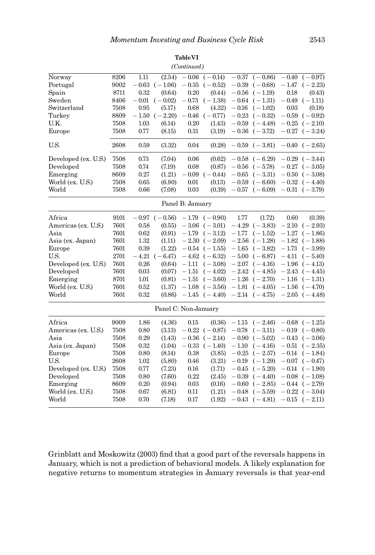| Norway<br>Portugal<br>Spain<br>Sweden<br>Switzerland<br>Turkey<br>U.K.<br>Europe                                                                          | 8206<br>9002<br>8711<br>8406<br>7508<br>8809<br>7508<br>7508                         | 1.11<br>$-\,0.63$<br>0.32<br>$-0.01$<br>0.95<br>$-1.50$<br>1.03<br>0.77                  | (2.54)<br>$(-1.06)$<br>(0.64)<br>$(-0.02)$<br>(5.17)<br>$(-2.20)$<br>(6.14)<br>(8.15)                                    | $-0.06$<br>$-0.35$<br>0.20<br>$-0.73$<br>0.68<br>$-0.46$<br>0.20<br>$\rm 0.31$                      | $\overline{(-0.14)}$<br>$(-0.52)$<br>(0.44)<br>$(-1.38)$<br>(4.32)<br>$(-0.77)$<br>(1.43)<br>(3.19)                                                                                           | $-0.37$<br>$-0.39$<br>$-0.56$<br>$-0.16$                                             | $(-0.86)$<br>$(-0.68)$<br>$(-1.19)$<br>$-0.64$ $(-1.31)$<br>$(-1.02)$<br>$-0.23$ $(-0.32)$<br>$-0.59$ $(-4.48)$<br>$-0.36$ $(-3.72)$                                                     | $-0.40$<br>$-1.47$<br>0.18<br>$-0.49$<br>0.03<br>$-0.59$<br>$-0.25$                  | $(-0.97)$<br>$(-2.23)$<br>(0.43)<br>$(-1.11)$<br>(0.18)<br>$(-0.92)$<br>$(-2.10)$<br>$-0.27$ $(-3.24)$                                                                       |
|-----------------------------------------------------------------------------------------------------------------------------------------------------------|--------------------------------------------------------------------------------------|------------------------------------------------------------------------------------------|--------------------------------------------------------------------------------------------------------------------------|-----------------------------------------------------------------------------------------------------|-----------------------------------------------------------------------------------------------------------------------------------------------------------------------------------------------|--------------------------------------------------------------------------------------|------------------------------------------------------------------------------------------------------------------------------------------------------------------------------------------|--------------------------------------------------------------------------------------|------------------------------------------------------------------------------------------------------------------------------------------------------------------------------|
| U.S.                                                                                                                                                      | 2608                                                                                 | 0.59                                                                                     | (3.32)                                                                                                                   | 0.04                                                                                                | (0.28)                                                                                                                                                                                        | $-0.59$                                                                              | $(-3.81)$                                                                                                                                                                                | $-0.40$                                                                              | $(-2.65)$                                                                                                                                                                    |
| Developed (ex. U.S.)<br>Developed<br>Emerging<br>World (ex. U.S.)<br>World                                                                                | 7508<br>7508<br>8609<br>7508<br>7508                                                 | 0.73<br>0.74<br>0.27<br>0.65<br>0.66                                                     | (7.04)<br>(7.19)<br>(1.21)<br>(6.90)<br>(7.08)                                                                           | 0.06<br>0.08<br>$-0.09$<br>0.01<br>0.03                                                             | (0.62)<br>(0.87)<br>$(-0.44)$<br>(0.13)<br>(0.39)                                                                                                                                             | $-0.56$<br>$-0.65$<br>$-0.59$<br>$-0.57$                                             | $-0.58$ $(-6.29)$<br>$(-5.78)$<br>$(-3.31)$<br>$(-6.60)$<br>$(-6.09)$                                                                                                                    |                                                                                      | $-0.29$ $(-3.44)$<br>$-0.27$ $(-3.05)$<br>$-0.50$ ( $-3.08$ )<br>$-0.32$ $(-4.40)$<br>$-0.31$ $(-3.79)$                                                                      |
| Panel B: January                                                                                                                                          |                                                                                      |                                                                                          |                                                                                                                          |                                                                                                     |                                                                                                                                                                                               |                                                                                      |                                                                                                                                                                                          |                                                                                      |                                                                                                                                                                              |
| Africa<br>Americas (ex. U.S.)<br>Asia<br>Asia (ex. Japan)<br>Europe<br>U.S.<br>Developed (ex. U.S.)<br>Developed<br>Emerging<br>World (ex. U.S.)<br>World | 9101<br>7601<br>7601<br>7601<br>7601<br>2701<br>7601<br>7601<br>8701<br>7601<br>7601 | 0.58<br>0.62<br>1.32<br>0.39<br>$-4.21$<br>0.26<br>0.03<br>1.01<br>0.52<br>0.32          | $-0.97$ $(-0.56)$<br>(0.55)<br>(0.91)<br>(1.11)<br>(1.22)<br>$(-6.47)$<br>(0.64)<br>(0.07)<br>(0.81)<br>(1.37)<br>(0.86) | $-3.06$<br>$-1.79$<br>$-1.11$<br>$-1.51$<br>$-1.51$                                                 | $-1.79$ $(-0.90)$<br>$(-3.01)$<br>$(-3.12)$<br>$-2.30$ $(-2.09)$<br>$-0.54$ $(-1.55)$<br>$-4.62$ ( $-6.32$ )<br>$(-3.08)$<br>$(-4.02)$<br>$(-3.60)$<br>$-1.08$ $(-3.56)$<br>$-1.45$ $(-4.40)$ | 1.77<br>$-4.29$<br>$-1.77$<br>$-2.56$<br>$-1.65$                                     | (1.72)<br>$(-3.83)$<br>$(-1.52)$<br>$(-1.28)$<br>$(-3.82)$<br>$-5.00$ $(-6.87)$<br>$-2.07$ $(-4.16)$<br>$-2.42$ $(-4.85)$<br>$-1.26$ $(-2.70)$<br>$-1.81$ $(-4.05)$<br>$-2.14$ $(-4.75)$ | 0.60<br>$-2.10$<br>$-1.27$<br>$-1.73$<br>$-4.11$<br>$-2.43$<br>$-1.16$               | (0.39)<br>$(-2.93)$<br>$(-1.86)$<br>$-1.82$ ( $-1.88$ )<br>$(-3.99)$<br>$(-5.40)$<br>$-1.96$ ( $-4.13$ )<br>$(-4.45)$<br>$(-1.31)$<br>$-1.56$ $(-4.70)$<br>$-2.05$ $(-4.48)$ |
| Panel C: Non-January                                                                                                                                      |                                                                                      |                                                                                          |                                                                                                                          |                                                                                                     |                                                                                                                                                                                               |                                                                                      |                                                                                                                                                                                          |                                                                                      |                                                                                                                                                                              |
| Africa<br>Americas (ex. U.S.)<br>Asia<br>Asia (ex. Japan)<br>Europe<br>U.S.<br>Developed (ex. U.S.)<br>Developed<br>Emerging<br>World (ex. U.S.)<br>World | 9009<br>7508<br>7508<br>7508<br>7508<br>2608<br>7508<br>7508<br>8609<br>7508<br>7508 | 1.86<br>0.80<br>0.29<br>0.32<br>$0.80\,$<br>1.02<br>0.77<br>0.80<br>0.20<br>0.67<br>0.70 | (4.36)<br>(3.13)<br>(1.43)<br>(1.04)<br>(8.14)<br>(5.80)<br>(7.23)<br>(7.60)<br>(0.94)<br>(6.81)<br>(7.18)               | 0.15<br>$-0.22$<br>$-0.36$<br>$-0.33$<br>0.38<br>0.46<br>0.16<br>0.22<br>$\rm 0.03$<br>0.11<br>0.17 | (0.36)<br>$(-0.87)$<br>$(-2.14)$<br>$(-1.40)$<br>(3.85)<br>(3.21)<br>(1.71)<br>(2.45)<br>(0.16)<br>(1.21)<br>(1.92)                                                                           | $-1.15$<br>$-0.78$<br>$-0.90$<br>$-1.10$<br>$-0.25$<br>$-0.19$<br>$-0.45$<br>$-0.48$ | $(-2.46)$<br>$(-3.11)$<br>$(-5.02)$<br>$(-4.16)$<br>$(-2.57)$<br>$(-1.29)$<br>$(-5.20)$<br>$-0.39$ $(-4.40)$<br>$-0.60$ $(-2.85)$<br>$(-5.59)$<br>$-0.43$ $(-4.81)$                      | $-0.19$<br>$-0.43$<br>$-0.51$<br>$-0.14$<br>$-0.07$<br>$-0.14$<br>$-0.22$<br>$-0.15$ | $-0.68$ $(-1.25)$<br>$(-0.80)$<br>$(-3.06)$<br>$(-2.35)$<br>$(-1.84)$<br>$(-0.47)$<br>$(-1.90)$<br>$-0.08$ $(-1.08)$<br>$-0.44$ $(-2.79)$<br>$(-3.04)$<br>$(-2.11)$          |

TableVI (Continued)

Grinblatt and Moskowitz (2003) find that a good part of the reversals happens in January, which is not a prediction of behavioral models. A likely explanation for negative returns to momentum strategies in January reversals is that year-end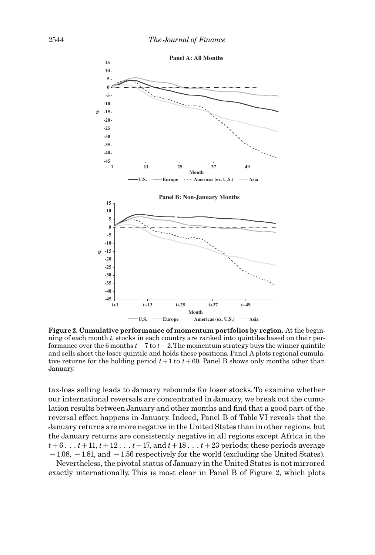

Figure 2. Cumulative performance of momentum portfolios by region. At the beginning of each month t, stocks in each country are ranked into quintiles based on their performance over the 6 months  $t - 7$  to  $t - 2$ . The momentum strategy buys the winner quintile and sells short the loser quintile and holds these positions. Panel A plots regional cumulative returns for the holding period  $t+1$  to  $t+60$ . Panel B shows only months other than January.

tax-loss selling leads to January rebounds for loser stocks. To examine whether our international reversals are concentrated in January, we break out the cumulation results between January and other months and find that a good part of the reversal effect happens in January. Indeed, Panel B of Table VI reveals that the January returns are more negative in the United States than in other regions, but the January returns are consistently negative in all regions except Africa in the  $t+6...t+11$ ,  $t+12...t+17$ , and  $t+18...t+23$  periods; these periods average  $-1.08$ ,  $-1.81$ , and  $-1.56$  respectively for the world (excluding the United States).

Nevertheless, the pivotal status of January in the United States is not mirrored exactly internationally. This is most clear in Panel B of Figure 2, which plots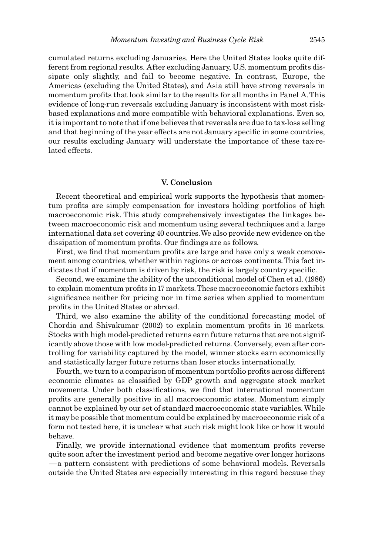cumulated returns excluding Januaries. Here the United States looks quite different from regional results. After excluding January, U.S. momentum profits dissipate only slightly, and fail to become negative. In contrast, Europe, the Americas (excluding the United States), and Asia still have strong reversals in momentum profits that look similar to the results for all months in Panel A. This evidence of long-run reversals excluding January is inconsistent with most riskbased explanations and more compatible with behavioral explanations. Even so, it is important to note that if one believes that reversals are due to tax-loss selling and that beginning of the year effects are not January specific in some countries, our results excluding January will understate the importance of these tax-related effects.

# V. Conclusion

Recent theoretical and empirical work supports the hypothesis that momentum profits are simply compensation for investors holding portfolios of high macroeconomic risk. This study comprehensively investigates the linkages between macroeconomic risk and momentum using several techniques and a large international data set covering 40 countries.We also provide new evidence on the dissipation of momentum profits. Our findings are as follows.

First, we find that momentum profits are large and have only a weak comovement among countries, whether within regions or across continents.This fact indicates that if momentum is driven by risk, the risk is largely country specific.

Second, we examine the ability of the unconditional model of Chen et al. (1986) to explain momentum profits in 17 markets. These macroeconomic factors exhibit significance neither for pricing nor in time series when applied to momentum profits in the United States or abroad.

Third, we also examine the ability of the conditional forecasting model of Chordia and Shivakumar (2002) to explain momentum profits in 16 markets. Stocks with high model-predicted returns earn future returns that are not significantly above those with low model-predicted returns. Conversely, even after controlling for variability captured by the model, winner stocks earn economically and statistically larger future returns than loser stocks internationally.

Fourth, we turn to a comparison of momentum portfolio profits across different economic climates as classified by GDP growth and aggregate stock market movements. Under both classifications, we find that international momentum pro¢ts are generally positive in all macroeconomic states. Momentum simply cannot be explained by our set of standard macroeconomic state variables.While it may be possible that momentum could be explained by macroeconomic risk of a form not tested here, it is unclear what such risk might look like or how it would behave.

Finally, we provide international evidence that momentum profits reverse quite soon after the investment period and become negative over longer horizons  $-\alpha$  pattern consistent with predictions of some behavioral models. Reversals outside the United States are especially interesting in this regard because they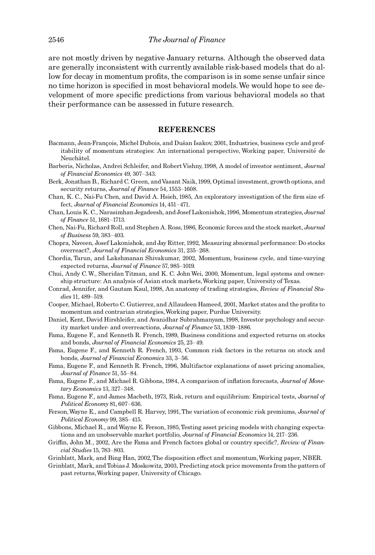are not mostly driven by negative January returns. Although the observed data are generally inconsistent with currently available risk-based models that do allow for decay in momentum profits, the comparison is in some sense unfair since no time horizon is specified in most behavioral models. We would hope to see development of more specific predictions from various behavioral models so that their performance can be assessed in future research.

## **REFERENCES**

- Bacmann, Jean-François, Michel Dubois, and Dušan Isakov, 2001, Industries, business cycle and profitability of momentum strategies: An international perspective, Working paper, Université de Neuchâtel.
- Barberis, Nicholas, Andrei Schleifer, and Robert Vishny, 1998, A model of investor sentiment, Journal of Financial Economics 49, 307^343.
- Berk, Jonathan B., Richard C. Green, andVasant Naik, 1999, Optimal investment, growth options, and security returns, Journal of Finance 54, 1553-1608.
- Chan, K. C., Nai-Fu Chen, and David A. Hsieh, 1985, An exploratory investigation of the firm size effect, Journal of Financial Economics 14, 451-471.
- Chan, Louis K. C., Narasimhan Jegadeesh, and Josef Lakonishok, 1996, Momentum strategies,Journal of Finance 51, 1681^1713.
- Chen, Nai-Fu, Richard Roll, and Stephen A. Ross, 1986, Economic forces and the stock market, Journal of Business 59, 383^403.
- Chopra, Naveen, Josef Lakonishok, and Jay Ritter, 1992, Measuring abnormal performance: Do stocks overreact?, Journal of Financial Economics 31, 235^268.
- Chordia, Tarun, and Lakshmanan Shivakumar, 2002, Momentum, business cycle, and time-varying expected returns, Journal of Finance 57, 985-1019.
- Chui, Andy C.W., Sheridan Titman, and K. C. John Wei, 2000, Momentum, legal systems and ownership structure: An analysis of Asian stock markets,Working paper, University of Texas.
- Conrad, Jennifer, and Gautam Kaul, 1998, An anatomy of trading strategies, Review of Financial Studies 11, 489-519.
- Cooper, Michael, Roberto C. Gutierrez, and Allaudeen Hameed, 2001, Market states and the profits to momentum and contrarian strategies,Working paper, Purdue University.
- Daniel, Kent, David Hirshleifer, and Avanidhar Subrahmanyam, 1998, Investor psychology and security market under- and overreactions, Journal of Finance 53, 1839-1886.
- Fama, Eugene F., and Kenneth R. French, 1989, Business conditions and expected returns on stocks and bonds, Journal of Financial Economics 25, 23^ 49.
- Fama, Eugene F., and Kenneth R. French, 1993, Common risk factors in the returns on stock and bonds, Journal of Financial Economics 33, 3^56.
- Fama, Eugene F., and Kenneth R. French, 1996, Multifactor explanations of asset pricing anomalies, Journal of Finance 51, 55-84.
- Fama, Eugene F., and Michael R. Gibbons, 1984, A comparison of inflation forecasts, *Journal of Mone*tary Economics 13, 327-348.
- Fama, Eugene F., and James Macbeth, 1973, Risk, return and equilibrium: Empirical tests, Journal of Political Economy 81, 607-636.
- Ferson, Wayne E., and Campbell R. Harvey, 1991, The variation of economic risk premiums, Journal of Political Economy 99, 385-415.
- Gibbons, Michael R., and Wayne E. Ferson, 1985,Testing asset pricing models with changing expectations and an unobservable market portfolio, Journal of Financial Economics 14, 217-236.
- Griffin, John M., 2002, Are the Fama and French factors global or country specific?, Review of Financial Studies 15, 783^803.
- Grinblatt, Mark, and Bing Han, 2002, The disposition effect and momentum, Working paper, NBER.
- Grinblatt, Mark, and Tobias J. Moskowitz, 2003, Predicting stock price movements from the pattern of past returns,Working paper, University of Chicago.